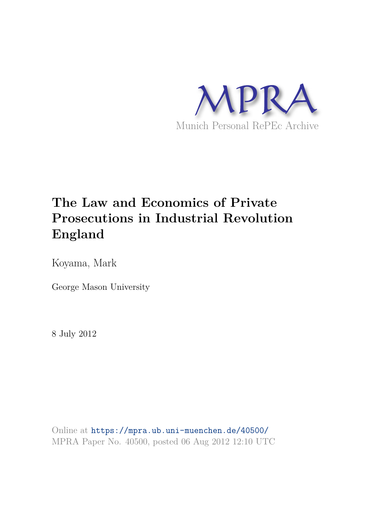

# **The Law and Economics of Private Prosecutions in Industrial Revolution England**

Koyama, Mark

George Mason University

8 July 2012

Online at https://mpra.ub.uni-muenchen.de/40500/ MPRA Paper No. 40500, posted 06 Aug 2012 12:10 UTC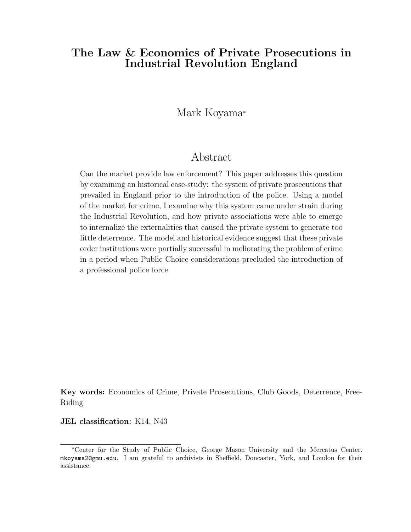# The Law & Economics of Private Prosecutions in Industrial Revolution England

# Mark Koyama<sup>∗</sup>

# Abstract

Can the market provide law enforcement? This paper addresses this question by examining an historical case-study: the system of private prosecutions that prevailed in England prior to the introduction of the police. Using a model of the market for crime, I examine why this system came under strain during the Industrial Revolution, and how private associations were able to emerge to internalize the externalities that caused the private system to generate too little deterrence. The model and historical evidence suggest that these private order institutions were partially successful in meliorating the problem of crime in a period when Public Choice considerations precluded the introduction of a professional police force.

Key words: Economics of Crime, Private Prosecutions, Club Goods, Deterrence, Free-Riding

#### JEL classification: K14, N43

<sup>∗</sup>Center for the Study of Public Choice, George Mason University and the Mercatus Center. mkoyama2@gmu.edu. I am grateful to archivists in Sheffield, Doncaster, York, and London for their assistance.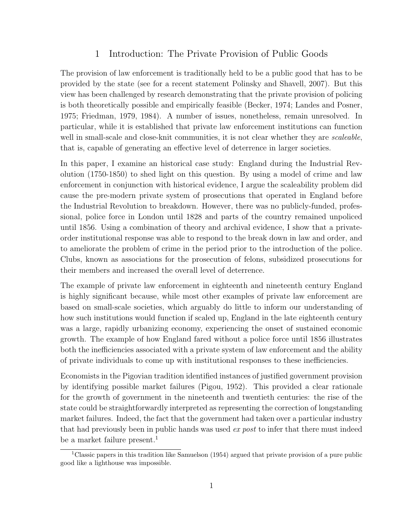# 1 Introduction: The Private Provision of Public Goods

The provision of law enforcement is traditionally held to be a public good that has to be provided by the state (see for a recent statement Polinsky and Shavell, 2007). But this view has been challenged by research demonstrating that the private provision of policing is both theoretically possible and empirically feasible (Becker, 1974; Landes and Posner, 1975; Friedman, 1979, 1984). A number of issues, nonetheless, remain unresolved. In particular, while it is established that private law enforcement institutions can function well in small-scale and close-knit communities, it is not clear whether they are *scaleable*, that is, capable of generating an effective level of deterrence in larger societies.

In this paper, I examine an historical case study: England during the Industrial Revolution (1750-1850) to shed light on this question. By using a model of crime and law enforcement in conjunction with historical evidence, I argue the scaleability problem did cause the pre-modern private system of prosecutions that operated in England before the Industrial Revolution to breakdown. However, there was no publicly-funded, professional, police force in London until 1828 and parts of the country remained unpoliced until 1856. Using a combination of theory and archival evidence, I show that a privateorder institutional response was able to respond to the break down in law and order, and to ameliorate the problem of crime in the period prior to the introduction of the police. Clubs, known as associations for the prosecution of felons, subsidized prosecutions for their members and increased the overall level of deterrence.

The example of private law enforcement in eighteenth and nineteenth century England is highly significant because, while most other examples of private law enforcement are based on small-scale societies, which arguably do little to inform our understanding of how such institutions would function if scaled up, England in the late eighteenth century was a large, rapidly urbanizing economy, experiencing the onset of sustained economic growth. The example of how England fared without a police force until 1856 illustrates both the inefficiencies associated with a private system of law enforcement and the ability of private individuals to come up with institutional responses to these inefficiencies.

Economists in the Pigovian tradition identified instances of justified government provision by identifying possible market failures (Pigou, 1952). This provided a clear rationale for the growth of government in the nineteenth and twentieth centuries: the rise of the state could be straightforwardly interpreted as representing the correction of longstanding market failures. Indeed, the fact that the government had taken over a particular industry that had previously been in public hands was used *ex post* to infer that there must indeed be a market failure present.<sup>1</sup>

<sup>&</sup>lt;sup>1</sup>Classic papers in this tradition like Samuelson (1954) argued that private provision of a pure public good like a lighthouse was impossible.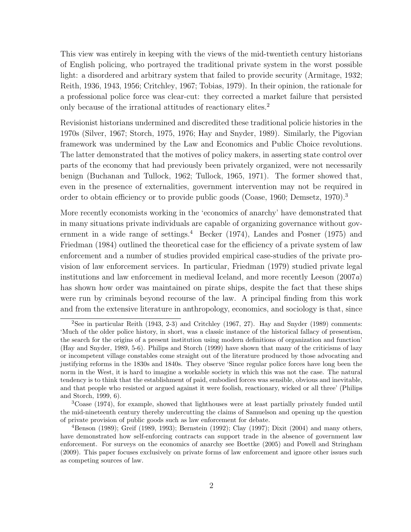This view was entirely in keeping with the views of the mid-twentieth century historians of English policing, who portrayed the traditional private system in the worst possible light: a disordered and arbitrary system that failed to provide security (Armitage, 1932; Reith, 1936, 1943, 1956; Critchley, 1967; Tobias, 1979). In their opinion, the rationale for a professional police force was clear-cut: they corrected a market failure that persisted only because of the irrational attitudes of reactionary elites.<sup>2</sup>

Revisionist historians undermined and discredited these traditional policie histories in the 1970s (Silver, 1967; Storch, 1975, 1976; Hay and Snyder, 1989). Similarly, the Pigovian framework was undermined by the Law and Economics and Public Choice revolutions. The latter demonstrated that the motives of policy makers, in asserting state control over parts of the economy that had previously been privately organized, were not necessarily benign (Buchanan and Tullock, 1962; Tullock, 1965, 1971). The former showed that, even in the presence of externalities, government intervention may not be required in order to obtain efficiency or to provide public goods (Coase, 1960; Demsetz, 1970).<sup>3</sup>

More recently economists working in the 'economics of anarchy' have demonstrated that in many situations private individuals are capable of organizing governance without government in a wide range of settings.<sup>4</sup> Becker (1974), Landes and Posner (1975) and Friedman (1984) outlined the theoretical case for the efficiency of a private system of law enforcement and a number of studies provided empirical case-studies of the private provision of law enforcement services. In particular, Friedman (1979) studied private legal institutions and law enforcement in medieval Iceland, and more recently Leeson (2007*a*) has shown how order was maintained on pirate ships, despite the fact that these ships were run by criminals beyond recourse of the law. A principal finding from this work and from the extensive literature in anthropology, economics, and sociology is that, since

<sup>2</sup>See in particular Reith (1943, 2-3) and Critchley (1967, 27). Hay and Snyder (1989) comments: 'Much of the older police history, in short, was a classic instance of the historical fallacy of presentism, the search for the origins of a present institution using modern definitions of organization and function' (Hay and Snyder, 1989, 5-6). Philips and Storch (1999) have shown that many of the criticisms of lazy or incompetent village constables come straight out of the literature produced by those advocating and justifying reforms in the 1830s and 1840s. They observe 'Since regular police forces have long been the norm in the West, it is hard to imagine a workable society in which this was not the case. The natural tendency is to think that the establishment of paid, embodied forces was sensible, obvious and inevitable, and that people who resisted or argued against it were foolish, reactionary, wicked or all three' (Philips and Storch, 1999, 6).

<sup>3</sup>Coase (1974), for example, showed that lighthouses were at least partially privately funded until the mid-nineteenth century thereby undercutting the claims of Samuelson and opening up the question of private provision of public goods such as law enforcement for debate.

<sup>&</sup>lt;sup>4</sup>Benson (1989); Greif (1989, 1993); Bernstein (1992); Clay (1997); Dixit (2004) and many others, have demonstrated how self-enforcing contracts can support trade in the absence of government law enforcement. For surveys on the economics of anarchy see Boettke (2005) and Powell and Stringham (2009). This paper focuses exclusively on private forms of law enforcement and ignore other issues such as competing sources of law.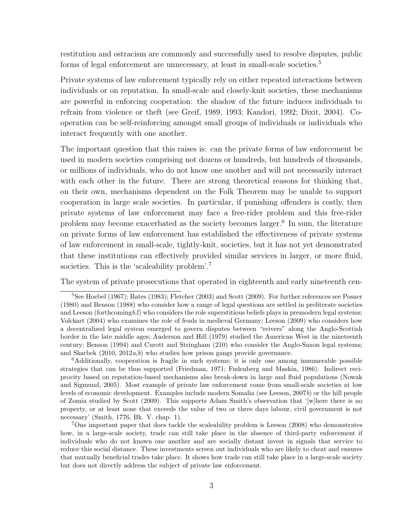restitution and ostracism are commonly and successfully used to resolve disputes, public forms of legal enforcement are unnecessary, at least in small-scale societies.<sup>5</sup>

Private systems of law enforcement typically rely on either repeated interactions between individuals or on reputation. In small-scale and closely-knit societies, these mechanisms are powerful in enforcing cooperation: the shadow of the future induces individuals to refrain from violence or theft (see Greif, 1989, 1993; Kandori, 1992; Dixit, 2004). Cooperation can be self-reinforcing amongst small groups of individuals or individuals who interact frequently with one another.

The important question that this raises is: can the private forms of law enforcement be used in modern societies comprising not dozens or hundreds, but hundreds of thousands, or millions of individuals, who do not know one another and will not necessarily interact with each other in the future. There are strong theoretical reasons for thinking that, on their own, mechanisms dependent on the Folk Theorem may be unable to support cooperation in large scale societies. In particular, if punishing offenders is costly, then private systems of law enforcement may face a free-rider problem and this free-rider problem may become exacerbated as the society becomes larger.<sup>6</sup> In sum, the literature on private forms of law enforcement has established the effectiveness of private systems of law enforcement in small-scale, tightly-knit, societies, but it has not yet demonstrated that these institutions can effectively provided similar services in larger, or more fluid, societies. This is the 'scaleability problem'.<sup>7</sup>

The system of private prosecutions that operated in eighteenth and early nineteenth cen-

<sup>5</sup>See Hoebel (1967); Bates (1983); Fletcher (2003) and Scott (2009). For further references see Posner (1980) and Benson (1988) who consider how a range of legal questions are settled in preliterate societies and Leeson (forthcomingb,f) who considers the role superstitious beliefs plays in premodern legal systems; Volckart (2004) who examines the role of feuds in medieval Germany; Leeson (2009) who considers how a decentralized legal system emerged to govern disputes between "reivers" along the Anglo-Scottish border in the late middle ages; Anderson and Hill (1979) studied the American West in the nineteenth century; Benson (1994) and Curott and Stringham (210) who consider the Anglo-Saxon legal systems; and Skarbek  $(2010, 2012a, b)$  who studies how prison gangs provide governance.

<sup>6</sup>Additionally, cooperation is fragile in such systems; it is only one among innumerable possible strategies that can be thus supported (Friedman, 1971; Fudenberg and Maskin, 1986). Indirect reciprocity based on reputation-based mechanisms also break-down in large and fluid populations (Nowak and Sigmund, 2005). Most example of private law enforcement come from small-scale societies at low levels of economic development. Examples include modern Somalia (see Leeson, 2007b) or the hill people of Zomia studied by Scott (2009). This supports Adam Smith's observation that '[w]here there is no property, or at least none that exceeds the value of two or three days labour, civil government is not necessary' (Smith, 1776, Bk. V. chap. 1).

<sup>7</sup>One important paper that does tackle the scaleability problem is Leeson (2008) who demonstrates how, in a large-scale society, trade can still take place in the absence of third-party enforcement if individuals who do not known one another and are socially distant invest in signals that service to reduce this social distance. These investments screen out individuals who are likely to cheat and ensures that mutually beneficial trades take place. It shows how trade can still take place in a large-scale society but does not directly address the subject of private law enforcement.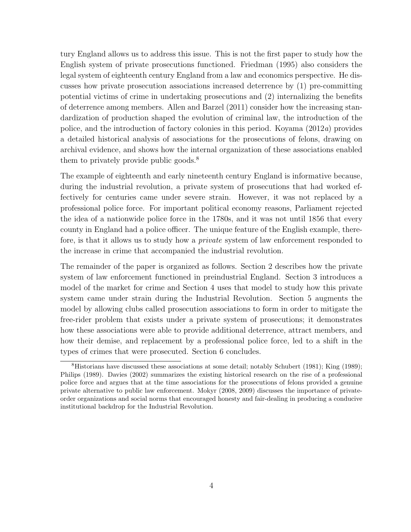tury England allows us to address this issue. This is not the first paper to study how the English system of private prosecutions functioned. Friedman (1995) also considers the legal system of eighteenth century England from a law and economics perspective. He discusses how private prosecution associations increased deterrence by (1) pre-committing potential victims of crime in undertaking prosecutions and (2) internalizing the benefits of deterrence among members. Allen and Barzel (2011) consider how the increasing standardization of production shaped the evolution of criminal law, the introduction of the police, and the introduction of factory colonies in this period. Koyama (2012*a*) provides a detailed historical analysis of associations for the prosecutions of felons, drawing on archival evidence, and shows how the internal organization of these associations enabled them to privately provide public goods.<sup>8</sup>

The example of eighteenth and early nineteenth century England is informative because, during the industrial revolution, a private system of prosecutions that had worked effectively for centuries came under severe strain. However, it was not replaced by a professional police force. For important political economy reasons, Parliament rejected the idea of a nationwide police force in the 1780s, and it was not until 1856 that every county in England had a police officer. The unique feature of the English example, therefore, is that it allows us to study how a *private* system of law enforcement responded to the increase in crime that accompanied the industrial revolution.

The remainder of the paper is organized as follows. Section 2 describes how the private system of law enforcement functioned in preindustrial England. Section 3 introduces a model of the market for crime and Section 4 uses that model to study how this private system came under strain during the Industrial Revolution. Section 5 augments the model by allowing clubs called prosecution associations to form in order to mitigate the free-rider problem that exists under a private system of prosecutions; it demonstrates how these associations were able to provide additional deterrence, attract members, and how their demise, and replacement by a professional police force, led to a shift in the types of crimes that were prosecuted. Section 6 concludes.

<sup>8</sup>Historians have discussed these associations at some detail; notably Schubert (1981); King (1989); Philips (1989). Davies (2002) summarizes the existing historical research on the rise of a professional police force and argues that at the time associations for the prosecutions of felons provided a genuine private alternative to public law enforcement. Mokyr (2008, 2009) discusses the importance of privateorder organizations and social norms that encouraged honesty and fair-dealing in producing a conducive institutional backdrop for the Industrial Revolution.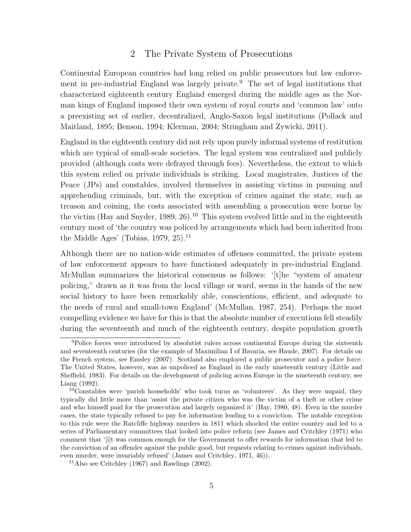#### 2 The Private System of Prosecutions

Continental European countries had long relied on public prosecutors but law enforcement in pre-industrial England was largely private.<sup>9</sup> The set of legal institutions that characterized eighteenth century England emerged during the middle ages as the Norman kings of England imposed their own system of royal courts and 'common law' onto a preexisting set of earlier, decentralized, Anglo-Saxon legal institutions (Pollack and Maitland, 1895; Benson, 1994; Klerman, 2004; Stringham and Zywicki, 2011).

England in the eighteenth century did not rely upon purely informal systems of restitution which are typical of small-scale societies. The legal system was centralized and publicly provided (although costs were defrayed through fees). Nevertheless, the extent to which this system relied on private individuals is striking. Local magistrates, Justices of the Peace (JPs) and constables, involved themselves in assisting victims in pursuing and apprehending criminals, but, with the exception of crimes against the state, such as treason and coining, the costs associated with assembling a prosecution were borne by the victim (Hay and Snyder, 1989,  $26$ ).<sup>10</sup> This system evolved little and in the eighteenth century most of 'the country was policed by arrangements which had been inherited from the Middle Ages' (Tobias, 1979, 25).<sup>11</sup>

Although there are no nation-wide estimates of offenses committed, the private system of law enforcement appears to have functioned adequately in pre-industrial England. McMullan summarizes the historical consensus as follows: '[t]he "system of amateur policing," drawn as it was from the local village or ward, seems in the hands of the new social history to have been remarkably able, conscientious, efficient, and adequate to the needs of rural and small-town England' (McMullan, 1987, 254). Perhaps the most compelling evidence we have for this is that the absolute number of executions fell steadily during the seventeenth and much of the eighteenth century, despite population growth

<sup>9</sup>Police forces were introduced by absolutist rulers across continental Europe during the sixteenth and seventeenth centuries (for the example of Maximilian I of Bavaria, see Haude, 2007). For details on the French system, see Emsley (2007). Scotland also employed a public prosecutor and a police force. The United States, however, was as unpoliced as England in the early nineteenth century (Little and Sheffield, 1983). For details on the development of policing across Europe in the nineteenth century, see Liang (1992).

<sup>10</sup>Constables were 'parish households' who took turns as 'volunteers'. As they were unpaid, they typically did little more than 'assist the private citizen who was the victim of a theft or other crime and who himself paid for the prosecution and largely organized it' (Hay, 1980, 48). Even in the murder cases, the state typically refused to pay for information leading to a conviction. The notable exception to this rule were the Ratcliffe highway murders in 1811 which shocked the entire country and led to a series of Parliamentary committees that looked into police reform (see James and Critchley (1971) who comment that '[i]t was common enough for the Government to offer rewards for information that led to the conviction of an offender against the public good, but requests relating to crimes against individuals, even murder, were invariably refused' (James and Critchley, 1971, 46)).

<sup>&</sup>lt;sup>11</sup>Also see Critchley (1967) and Rawlings (2002).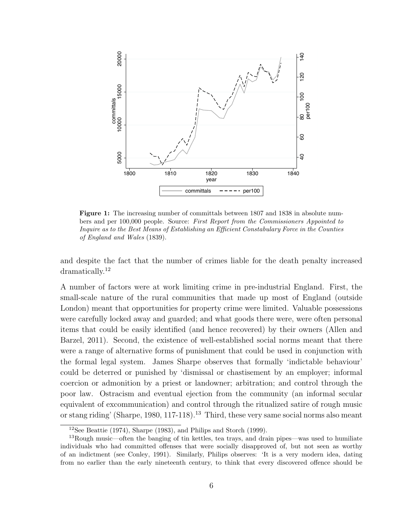

Figure 1: The increasing number of committals between 1807 and 1838 in absolute numbers and per 100,000 people. Source: First Report from the Commissioners Appointed to Inquire as to the Best Means of Establishing an Efficient Constabulary Force in the Counties of England and Wales (1839).

and despite the fact that the number of crimes liable for the death penalty increased dramatically.<sup>12</sup>

A number of factors were at work limiting crime in pre-industrial England. First, the small-scale nature of the rural communities that made up most of England (outside London) meant that opportunities for property crime were limited. Valuable possessions were carefully locked away and guarded; and what goods there were, were often personal items that could be easily identified (and hence recovered) by their owners (Allen and Barzel, 2011). Second, the existence of well-established social norms meant that there were a range of alternative forms of punishment that could be used in conjunction with the formal legal system. James Sharpe observes that formally 'indictable behaviour' could be deterred or punished by 'dismissal or chastisement by an employer; informal coercion or admonition by a priest or landowner; arbitration; and control through the poor law. Ostracism and eventual ejection from the community (an informal secular equivalent of excommunication) and control through the ritualized satire of rough music or stang riding' (Sharpe, 1980, 117-118).<sup>13</sup> Third, these very same social norms also meant

<sup>&</sup>lt;sup>12</sup>See Beattie (1974), Sharpe (1983), and Philips and Storch (1999).

<sup>&</sup>lt;sup>13</sup>Rough music—often the banging of tin kettles, tea trays, and drain pipes—was used to humiliate individuals who had committed offenses that were socially disapproved of, but not seen as worthy of an indictment (see Conley, 1991). Similarly, Philips observes: 'It is a very modern idea, dating from no earlier than the early nineteenth century, to think that every discovered offence should be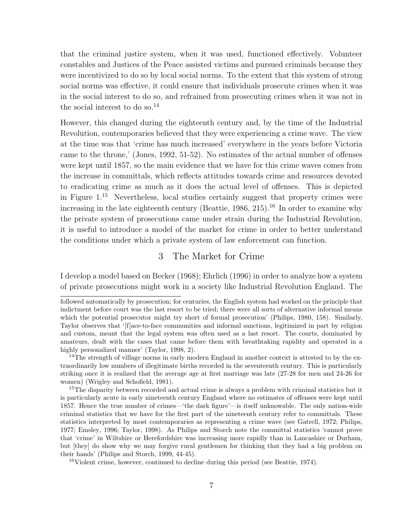that the criminal justice system, when it was used, functioned effectively. Volunteer constables and Justices of the Peace assisted victims and pursued criminals because they were incentivized to do so by local social norms. To the extent that this system of strong social norms was effective, it could ensure that individuals prosecute crimes when it was in the social interest to do so, and refrained from prosecuting crimes when it was not in the social interest to do so. $^{14}$ 

However, this changed during the eighteenth century and, by the time of the Industrial Revolution, contemporaries believed that they were experiencing a crime wave. The view at the time was that 'crime has much increased' everywhere in the years before Victoria came to the throne,' (Jones, 1992, 51-52). No estimates of the actual number of offenses were kept until 1857, so the main evidence that we have for this crime waves comes from the increase in committals, which reflects attitudes towards crime and resources devoted to eradicating crime as much as it does the actual level of offenses. This is depicted in Figure  $1^{15}$  Nevertheless, local studies certainly suggest that property crimes were increasing in the late eighteenth century (Beattie,  $1986, 215$ ).<sup>16</sup> In order to examine why the private system of prosecutions came under strain during the Industrial Revolution, it is useful to introduce a model of the market for crime in order to better understand the conditions under which a private system of law enforcement can function.

## 3 The Market for Crime

I develop a model based on Becker (1968); Ehrlich (1996) in order to analyze how a system of private prosecutions might work in a society like Industrial Revolution England. The

<sup>16</sup>Violent crime, however, continued to decline during this period (see Beattie, 1974).

followed automatically by prosecution; for centuries, the English system had worked on the principle that indictment before court was the last resort to be tried; there were all sorts of alternative informal means which the potential prosecutor might try short of formal prosecution' (Philips, 1980, 158). Similarly, Taylor observes that '[f]ace-to-face communities and informal sanctions, legitimized in part by religion and custom, meant that the legal system was often used as a last resort. The courts, dominated by amateurs, dealt with the cases that came before them with breathtaking rapidity and operated in a highly personalized manner' (Taylor, 1998, 2).

<sup>&</sup>lt;sup>14</sup>The strength of village norms in early modern England in another context is attested to by the extraordinarily low numbers of illegitimate births recorded in the seventeenth century. This is particularly striking once it is realized that the average age at first marriage was late (27-28 for men and 24-26 for women) (Wrigley and Schofield, 1981).

<sup>&</sup>lt;sup>15</sup>The disparity between recorded and actual crime is always a problem with criminal statistics but it is particularly acute in early nineteenth century England where no estimates of offenses were kept until 1857. Hence the true number of crimes—'the dark figure'—is itself unknowable. The only nation-wide criminal statistics that we have for the first part of the nineteenth century refer to committals. These statistics interpreted by most contemporaries as representing a crime wave (see Gatrell, 1972; Philips, 1977; Emsley, 1996; Taylor, 1998). As Philips and Storch note the committal statistics 'cannot prove that 'crime' in Wiltshire or Herefordshire was increasing more rapidly than in Lancashire or Durham, but [they] do show why we may forgive rural gentlemen for thinking that they had a big problem on their hands' (Philips and Storch, 1999, 44-45).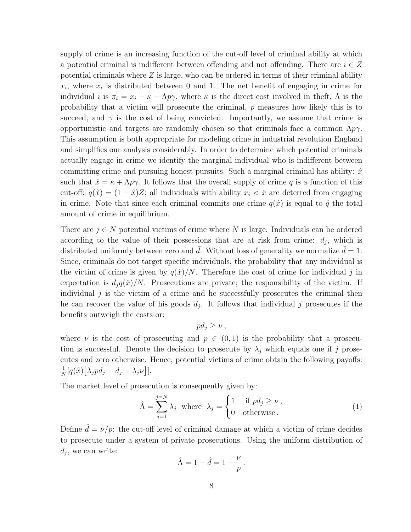supply of crime is an increasing function of the cut-off level of criminal ability at which a potential criminal is indifferent between offending and not offending. There are  $i \in Z$ potential criminals where  $Z$  is large, who can be ordered in terms of their criminal ability  $x_i$ , where  $x_i$  is distributed between 0 and 1. The net benefit of engaging in crime for individual i is  $\pi_i = x_i - \kappa - \Lambda p \gamma$ , where  $\kappa$  is the direct cost involved in theft,  $\Lambda$  is the probability that a victim will prosecute the criminal,  $p$  measures how likely this is to succeed, and  $\gamma$  is the cost of being convicted. Importantly, we assume that crime is opportunistic and targets are randomly chosen so that criminals face a common  $\Lambda p\gamma$ . This assumption is both appropriate for modeling crime in industrial revolution England and simplifies our analysis considerably. In order to determine which potential criminals actually engage in crime we identify the marginal individual who is indifferent between committing crime and pursuing honest pursuits. Such a marginal criminal has ability:  $\hat{x}$ such that  $\hat{x} = \kappa + \Lambda p \gamma$ . It follows that the overall supply of crime q is a function of this cut-off:  $q(\hat{x}) = (1 - \hat{x})Z$ ; all individuals with ability  $x_i < \hat{x}$  are deterred from engaging in crime. Note that since each criminal commits one crime  $q(\hat{x})$  is equal to  $\hat{q}$  the total amount of crime in equilibrium.

There are  $j \in N$  potential victims of crime where N is large. Individuals can be ordered according to the value of their possessions that are at risk from crime:  $d_j$ , which is distributed uniformly between zero and d. Without loss of generality we normalize  $\bar{d} = 1$ . Since, criminals do not target specific individuals, the probability that any individual is the victim of crime is given by  $q(\hat{x})/N$ . Therefore the cost of crime for individual j in expectation is  $d_i q(\hat{x})/N$ . Prosecutions are private; the responsibility of the victim. If individual  $j$  is the victim of a crime and he successfully prosecutes the criminal then he can recover the value of his goods  $d_j$ . It follows that individual j prosecutes if the benefits outweigh the costs or:

$$
pd_j\geq \nu\,,
$$

where  $\nu$  is the cost of prosecuting and  $p \in (0,1)$  is the probability that a prosecution is successful. Denote the decision to prosecute by  $\lambda_j$  which equals one if j prosecutes and zero otherwise. Hence, potential victims of crime obtain the following payoffs: 1  $\frac{1}{N}[q(\hat{x})[\lambda_j p d_j - d_j - \lambda_j \nu]].$ 

The market level of prosecution is consequently given by:

$$
\hat{\Lambda} = \sum_{j=1}^{j=N} \lambda_j \text{ where } \lambda_j = \begin{cases} 1 & \text{if } pd_j \ge \nu \,, \\ 0 & \text{otherwise.} \end{cases} \tag{1}
$$

Define  $\ddot{d} = \nu/p$ : the cut-off level of criminal damage at which a victim of crime decides to prosecute under a system of private prosecutions. Using the uniform distribution of  $d_j$ , we can write:

$$
\hat{\Lambda} = 1 - \hat{d} = 1 - \frac{\nu}{p} \, .
$$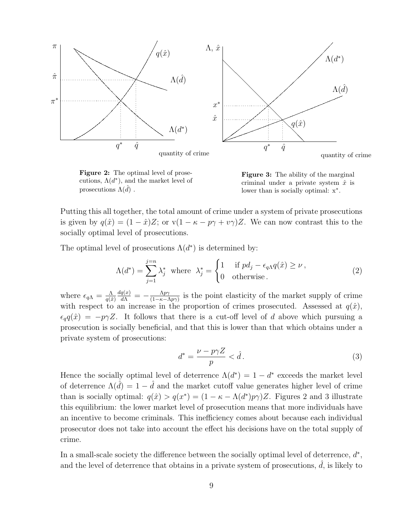

Figure 2: The optimal level of prosecutions,  $\Lambda(d^*)$ , and the market level of prosecutions  $\Lambda(d)$ .

Figure 3: The ability of the marginal criminal under a private system  $\hat{x}$  is lower than is socially optimal: x<sup>∗</sup> .

Putting this all together, the total amount of crime under a system of private prosecutions is given by  $q(\hat{x}) = (1 - \hat{x})Z$ ; or  $v(1 - \kappa - p\gamma + v\gamma)Z$ . We can now contrast this to the socially optimal level of prosecutions.

The optimal level of prosecutions  $\Lambda(d^*)$  is determined by:

$$
\Lambda(d^*) = \sum_{j=1}^{j=n} \lambda_j^* \text{ where } \lambda_j^* = \begin{cases} 1 & \text{if } pd_j - \epsilon_{q\Lambda}q(\hat{x}) \ge \nu \,, \\ 0 & \text{otherwise.} \end{cases} \tag{2}
$$

where  $\epsilon_{q\Lambda} = \frac{\Lambda}{q(\hat{q})}$  $q(\hat{x})$  $\frac{dq(x)}{d\Lambda} = -\frac{\Lambda p \gamma}{(1-\kappa-l)}$  $\frac{\Delta p\gamma}{(1-\kappa-\Delta p\gamma)}$  is the point elasticity of the market supply of crime with respect to an increase in the proportion of crimes prosecuted. Assessed at  $q(\hat{x})$ ,  $\epsilon_{q}q(\hat{x}) = -p\gamma Z$ . It follows that there is a cut-off level of d above which pursuing a prosecution is socially beneficial, and that this is lower than that which obtains under a private system of prosecutions:

$$
d^* = \frac{\nu - p\gamma Z}{p} < \hat{d} \,. \tag{3}
$$

Hence the socially optimal level of deterrence  $\Lambda(d^*) = 1 - d^*$  exceeds the market level of deterrence  $\Lambda(\hat{d}) = 1 - \hat{d}$  and the market cutoff value generates higher level of crime than is socially optimal:  $q(\hat{x}) > q(x^*) = (1 - \kappa - \Lambda(d^*)p\gamma)Z$ . Figures 2 and 3 illustrate this equilibrium: the lower market level of prosecution means that more individuals have an incentive to become criminals. This inefficiency comes about because each individual prosecutor does not take into account the effect his decisions have on the total supply of crime.

In a small-scale society the difference between the socially optimal level of deterrence,  $d^*$ , and the level of deterrence that obtains in a private system of prosecutions,  $\hat{d}$ , is likely to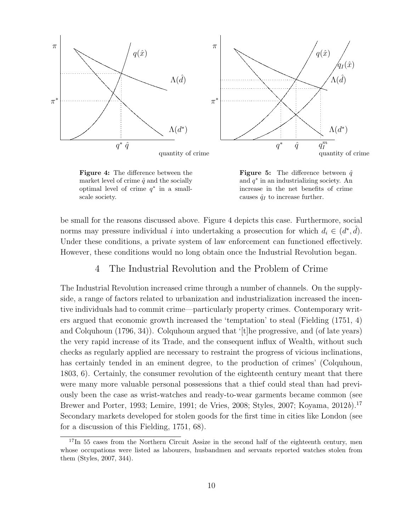

Figure 4: The difference between the market level of crime  $\hat{q}$  and the socially optimal level of crime  $q^*$  in a smallscale society.

**Figure 5:** The difference between  $\hat{q}$ and  $q^*$  in an industrializing society. An increase in the net benefits of crime causes  $\hat{q}_I$  to increase further.

be small for the reasons discussed above. Figure 4 depicts this case. Furthermore, social norms may pressure individual i into undertaking a prosecution for which  $d_i \in (d^*, \hat{d})$ . Under these conditions, a private system of law enforcement can functioned effectively. However, these conditions would no long obtain once the Industrial Revolution began.

# 4 The Industrial Revolution and the Problem of Crime

The Industrial Revolution increased crime through a number of channels. On the supplyside, a range of factors related to urbanization and industrialization increased the incentive individuals had to commit crime—particularly property crimes. Contemporary writers argued that economic growth increased the 'temptation' to steal (Fielding (1751, 4) and Colquhoun (1796, 34)). Colquhoun argued that '[t]he progressive, and (of late years) the very rapid increase of its Trade, and the consequent influx of Wealth, without such checks as regularly applied are necessary to restraint the progress of vicious inclinations, has certainly tended in an eminent degree, to the production of crimes' (Colquhoun, 1803, 6). Certainly, the consumer revolution of the eighteenth century meant that there were many more valuable personal possessions that a thief could steal than had previously been the case as wrist-watches and ready-to-wear garments became common (see Brewer and Porter, 1993; Lemire, 1991; de Vries, 2008; Styles, 2007; Koyama, 2012*b*).<sup>17</sup> Secondary markets developed for stolen goods for the first time in cities like London (see for a discussion of this Fielding, 1751, 68).

 $17\text{In }55$  cases from the Northern Circuit Assize in the second half of the eighteenth century, men whose occupations were listed as labourers, husbandmen and servants reported watches stolen from them (Styles, 2007, 344).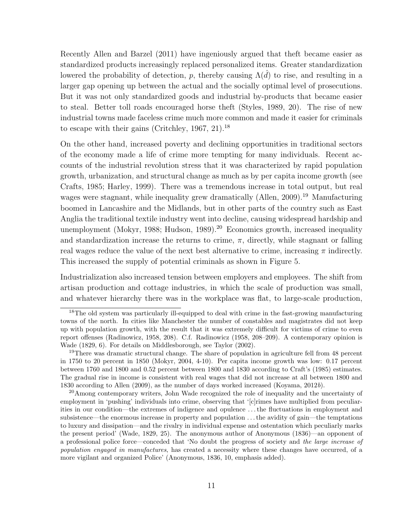Recently Allen and Barzel (2011) have ingeniously argued that theft became easier as standardized products increasingly replaced personalized items. Greater standardization lowered the probability of detection, p, thereby causing  $\Lambda(d)$  to rise, and resulting in a larger gap opening up between the actual and the socially optimal level of prosecutions. But it was not only standardized goods and industrial by-products that became easier to steal. Better toll roads encouraged horse theft (Styles, 1989, 20). The rise of new industrial towns made faceless crime much more common and made it easier for criminals to escape with their gains (Critchley,  $1967$ ,  $21$ ).<sup>18</sup>

On the other hand, increased poverty and declining opportunities in traditional sectors of the economy made a life of crime more tempting for many individuals. Recent accounts of the industrial revolution stress that it was characterized by rapid population growth, urbanization, and structural change as much as by per capita income growth (see Crafts, 1985; Harley, 1999). There was a tremendous increase in total output, but real wages were stagnant, while inequality grew dramatically (Allen, 2009).<sup>19</sup> Manufacturing boomed in Lancashire and the Midlands, but in other parts of the country such as East Anglia the traditional textile industry went into decline, causing widespread hardship and unemployment (Mokyr, 1988; Hudson, 1989).<sup>20</sup> Economics growth, increased inequality and standardization increase the returns to crime,  $\pi$ , directly, while stagnant or falling real wages reduce the value of the next best alternative to crime, increasing  $\pi$  indirectly. This increased the supply of potential criminals as shown in Figure 5.

Industrialization also increased tension between employers and employees. The shift from artisan production and cottage industries, in which the scale of production was small, and whatever hierarchy there was in the workplace was flat, to large-scale production,

 $18$ The old system was particularly ill-equipped to deal with crime in the fast-growing manufacturing towns of the north. In cities like Manchester the number of constables and magistrates did not keep up with population growth, with the result that it was extremely difficult for victims of crime to even report offenses (Radinowicz, 1958, 208). C.f. Radinowicz (1958, 208–209). A contemporary opinion is Wade (1829, 6). For details on Middlesborough, see Taylor (2002).

<sup>&</sup>lt;sup>19</sup>There was dramatic structural change. The share of population in agriculture fell from 48 percent in 1750 to 20 percent in 1850 (Mokyr, 2004, 4-10). Per capita income growth was low: 0.17 percent between 1760 and 1800 and 0.52 percent between 1800 and 1830 according to Craft's (1985) estimates. The gradual rise in income is consistent with real wages that did not increase at all between 1800 and 1830 according to Allen (2009), as the number of days worked increased (Koyama, 2012b).

<sup>&</sup>lt;sup>20</sup>Among contemporary writers, John Wade recognized the role of inequality and the uncertainty of employment in 'pushing' individuals into crime, observing that '[c]rimes have multiplied from peculiarities in our condition—the extremes of indigence and opulence . . . the fluctuations in employment and subsistence—the enormous increase in property and population . . . the avidity of gain—the temptations to luxury and dissipation—and the rivalry in individual expense and ostentation which peculiarly marks the present period' (Wade, 1829, 25). The anonymous author of Anonymous (1836)—an opponent of a professional police force—conceded that 'No doubt the progress of society and the large increase of population engaged in manufactures, has created a necessity where these changes have occurred, of a more vigilant and organized Police' (Anonymous, 1836, 10, emphasis added).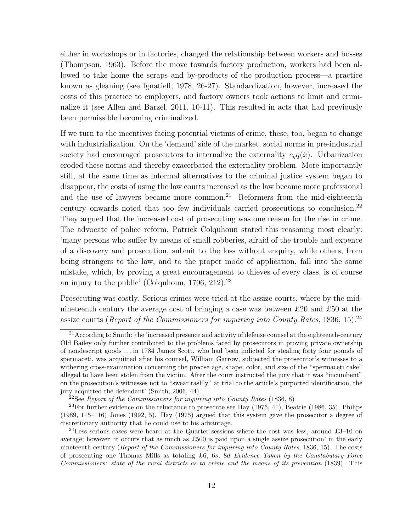either in workshops or in factories, changed the relationship between workers and bosses (Thompson, 1963). Before the move towards factory production, workers had been allowed to take home the scraps and by-products of the production process—a practice known as gleaning (see Ignatieff, 1978, 26-27). Standardization, however, increased the costs of this practice to employers, and factory owners took actions to limit and criminalize it (see Allen and Barzel, 2011, 10-11). This resulted in acts that had previously been permissible becoming criminalized.

If we turn to the incentives facing potential victims of crime, these, too, began to change with industrialization. On the 'demand' side of the market, social norms in pre-industrial society had encouraged prosecutors to internalize the externality  $e_qq(\hat{x})$ . Urbanization eroded these norms and thereby exacerbated the externality problem. More importantly still, at the same time as informal alternatives to the criminal justice system began to disappear, the costs of using the law courts increased as the law became more professional and the use of lawyers became more common.<sup>21</sup> Reformers from the mid-eighteenth century onwards noted that too few individuals carried prosecutions to conclusion.<sup>22</sup> They argued that the increased cost of prosecuting was one reason for the rise in crime. The advocate of police reform, Patrick Colquhoun stated this reasoning most clearly: 'many persons who suffer by means of small robberies, afraid of the trouble and expence of a discovery and prosecution, submit to the loss without enquiry, while others, from being strangers to the law, and to the proper mode of application, fall into the same mistake, which, by proving a great encouragement to thieves of every class, is of course an injury to the public' (Colquhoun,  $1796, 212$ ).<sup>23</sup>

Prosecuting was costly. Serious crimes were tried at the assize courts, where by the midnineteenth century the average cost of bringing a case was between £20 and £50 at the assize courts (*Report of the Commissioners for inquiring into County Rates*, 1836, 15).<sup>24</sup>

 $21$  According to Smith: the 'increased presence and activity of defense counsel at the eighteenth-century Old Bailey only further contributed to the problems faced by prosecutors in proving private ownership of nondescript goods . . . in 1784 James Scott, who had been indicted for stealing forty four pounds of spermaceti, was acquitted after his counsel, William Garrow, subjected the prosecutor's witnesses to a withering cross-examination concerning the precise age, shape, color, and size of the "spermaceti cake" alleged to have been stolen from the victim. After the court instructed the jury that it was "incumbent" on the prosecution's witnesses not to "swear rashly" at trial to the article's purported identification, the jury acquitted the defendant' (Smith, 2006, 44).

<sup>&</sup>lt;sup>22</sup>See Report of the Commissioners for inquiring into County Rates  $(1836, 8)$ 

 $23$ For further evidence on the reluctance to prosecute see Hay  $(1975, 41)$ , Beattie  $(1986, 35)$ , Philips (1989, 115–116) Jones (1992, 5). Hay (1975) argued that this system gave the prosecutor a degree of discretionary authority that he could use to his advantage.

 $^{24}$ Less serious cases were heard at the Quarter sessions where the cost was less, around £3–10 on average; however 'it occurs that as much as £500 is paid upon a single assize prosecution' in the early nineteenth century (Report of the Commissioners for inquiring into County Rates, 1836, 15). The costs of prosecuting one Thomas Mills as totaling £6, 6s, 8d Evidence Taken by the Constabulary Force Commissioners: state of the rural districts as to crime and the means of its prevention (1839). This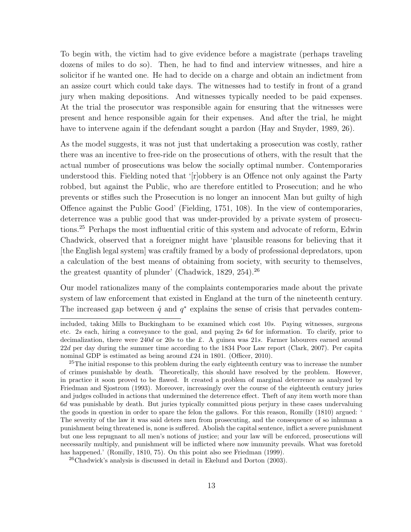To begin with, the victim had to give evidence before a magistrate (perhaps traveling dozens of miles to do so). Then, he had to find and interview witnesses, and hire a solicitor if he wanted one. He had to decide on a charge and obtain an indictment from an assize court which could take days. The witnesses had to testify in front of a grand jury when making depositions. And witnesses typically needed to be paid expenses. At the trial the prosecutor was responsible again for ensuring that the witnesses were present and hence responsible again for their expenses. And after the trial, he might have to intervene again if the defendant sought a pardon (Hay and Snyder, 1989, 26).

As the model suggests, it was not just that undertaking a prosecution was costly, rather there was an incentive to free-ride on the prosecutions of others, with the result that the actual number of prosecutions was below the socially optimal number. Contemporaries understood this. Fielding noted that '[r]obbery is an Offence not only against the Party robbed, but against the Public, who are therefore entitled to Prosecution; and he who prevents or stifles such the Prosecution is no longer an innocent Man but guilty of high Offence against the Public Good' (Fielding, 1751, 108). In the view of contemporaries, deterrence was a public good that was under-provided by a private system of prosecutions.<sup>25</sup> Perhaps the most influential critic of this system and advocate of reform, Edwin Chadwick, observed that a foreigner might have 'plausible reasons for believing that it [the English legal system] was craftily framed by a body of professional depredators, upon a calculation of the best means of obtaining from society, with security to themselves, the greatest quantity of plunder' (Chadwick, 1829, 254).<sup>26</sup>

Our model rationalizes many of the complaints contemporaries made about the private system of law enforcement that existed in England at the turn of the nineteenth century. The increased gap between  $\hat{q}$  and  $q^*$  explains the sense of crisis that pervades contem-

included, taking Mills to Buckingham to be examined which cost 10s. Paying witnesses, surgeons etc. 2s each, hiring a conveyance to the goal, and paying 2s 6d for information. To clarify, prior to decimalization, there were 240d or 20s to the £. A guinea was 21s. Farmer labourers earned around 22d per day during the summer time according to the 1834 Poor Law report (Clark, 2007). Per capita nominal GDP is estimated as being around £24 in 1801. (Officer, 2010).

<sup>&</sup>lt;sup>25</sup>The initial response to this problem during the early eighteenth century was to increase the number of crimes punishable by death. Theoretically, this should have resolved by the problem. However, in practice it soon proved to be flawed. It created a problem of marginal deterrence as analyzed by Friedman and Sjostrom (1993). Moreover, increasingly over the course of the eighteenth century juries and judges colluded in actions that undermined the deterrence effect. Theft of any item worth more than 6d was punishable by death. But juries typically committed pious perjury in these cases undervaluing the goods in question in order to spare the felon the gallows. For this reason, Romilly (1810) argued: ' The severity of the law it was said deters men from prosecuting, and the consequence of so inhuman a punishment being threatened is, none is suffered. Abolish the capital sentence, inflict a severe punishment but one less repugnant to all men's notions of justice; and your law will be enforced, prosecutions will necessarily multiply, and punishment will be inflicted where now immunity prevails. What was foretold has happened.' (Romilly, 1810, 75). On this point also see Friedman (1999).

<sup>26</sup>Chadwick's analysis is discussed in detail in Ekelund and Dorton (2003).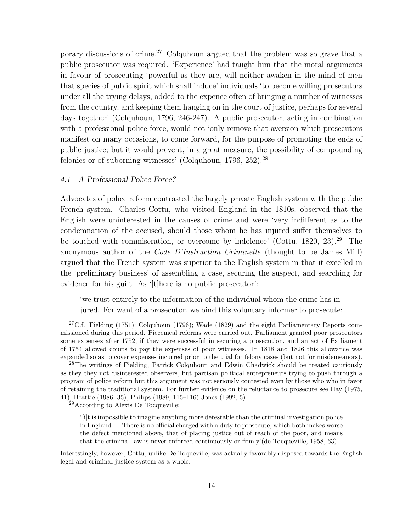porary discussions of crime.<sup>27</sup> Colquhoun argued that the problem was so grave that a public prosecutor was required. 'Experience' had taught him that the moral arguments in favour of prosecuting 'powerful as they are, will neither awaken in the mind of men that species of public spirit which shall induce' individuals 'to become willing prosecutors under all the trying delays, added to the expence often of bringing a number of witnesses from the country, and keeping them hanging on in the court of justice, perhaps for several days together' (Colquhoun, 1796, 246-247). A public prosecutor, acting in combination with a professional police force, would not 'only remove that aversion which prosecutors manifest on many occasions, to come forward, for the purpose of promoting the ends of public justice; but it would prevent, in a great measure, the possibility of compounding felonies or of suborning witnesses' (Colquhoun, 1796, 252).<sup>28</sup>

#### 4.1 A Professional Police Force?

Advocates of police reform contrasted the largely private English system with the public French system. Charles Cottu, who visited England in the 1810s, observed that the English were uninterested in the causes of crime and were 'very indifferent as to the condemnation of the accused, should those whom he has injured suffer themselves to be touched with commiseration, or overcome by indolence' (Cottu,  $1820, 23$ ).<sup>29</sup> The anonymous author of the *Code D'Instruction Criminelle* (thought to be James Mill) argued that the French system was superior to the English system in that it excelled in the 'preliminary business' of assembling a case, securing the suspect, and searching for evidence for his guilt. As '[t]here is no public prosecutor':

'we trust entirely to the information of the individual whom the crime has injured. For want of a prosecutor, we bind this voluntary informer to prosecute;

<sup>29</sup>According to Alexis De Tocqueville:

<sup>&</sup>lt;sup>27</sup>C.f. Fielding (1751); Colquhoun (1796); Wade (1829) and the eight Parliamentary Reports commissioned during this period. Piecemeal reforms were carried out. Parliament granted poor prosecutors some expenses after 1752, if they were successful in securing a prosecution, and an act of Parliament of 1754 allowed courts to pay the expenses of poor witnesses. In 1818 and 1826 this allowance was expanded so as to cover expenses incurred prior to the trial for felony cases (but not for misdemeanors).

<sup>&</sup>lt;sup>28</sup>The writings of Fielding, Patrick Colquhoun and Edwin Chadwick should be treated cautiously as they they not disinterested observers, but partisan political entrepreneurs trying to push through a program of police reform but this argument was not seriously contested even by those who who in favor of retaining the traditional system. For further evidence on the reluctance to prosecute see Hay (1975, 41), Beattie (1986, 35), Philips (1989, 115–116) Jones (1992, 5).

<sup>&#</sup>x27;[i]t is impossible to imagine anything more detestable than the criminal investigation police in England . . . There is no official charged with a duty to prosecute, which both makes worse the defect mentioned above, that of placing justice out of reach of the poor, and means that the criminal law is never enforced continuously or firmly'(de Tocqueville, 1958, 63).

Interestingly, however, Cottu, unlike De Toqueville, was actually favorably disposed towards the English legal and criminal justice system as a whole.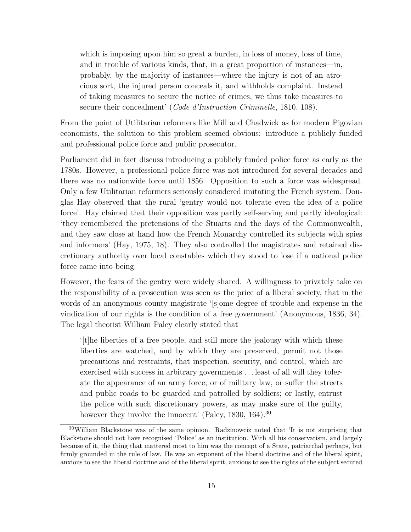which is imposing upon him so great a burden, in loss of money, loss of time, and in trouble of various kinds, that, in a great proportion of instances—in, probably, by the majority of instances—where the injury is not of an atrocious sort, the injured person conceals it, and withholds complaint. Instead of taking measures to secure the notice of crimes, we thus take measures to secure their concealment' (*Code d'Instruction Criminelle*, 1810, 108).

From the point of Utilitarian reformers like Mill and Chadwick as for modern Pigovian economists, the solution to this problem seemed obvious: introduce a publicly funded and professional police force and public prosecutor.

Parliament did in fact discuss introducing a publicly funded police force as early as the 1780s. However, a professional police force was not introduced for several decades and there was no nationwide force until 1856. Opposition to such a force was widespread. Only a few Utilitarian reformers seriously considered imitating the French system. Douglas Hay observed that the rural 'gentry would not tolerate even the idea of a police force'. Hay claimed that their opposition was partly self-serving and partly ideological: 'they remembered the pretensions of the Stuarts and the days of the Commonwealth, and they saw close at hand how the French Monarchy controlled its subjects with spies and informers' (Hay, 1975, 18). They also controlled the magistrates and retained discretionary authority over local constables which they stood to lose if a national police force came into being.

However, the fears of the gentry were widely shared. A willingness to privately take on the responsibility of a prosecution was seen as the price of a liberal society, that in the words of an anonymous county magistrate '[s]ome degree of trouble and expense in the vindication of our rights is the condition of a free government' (Anonymous, 1836, 34). The legal theorist William Paley clearly stated that

'[t]he liberties of a free people, and still more the jealousy with which these liberties are watched, and by which they are preserved, permit not those precautions and restraints, that inspection, security, and control, which are exercised with success in arbitrary governments . . . least of all will they tolerate the appearance of an army force, or of military law, or suffer the streets and public roads to be guarded and patrolled by soldiers; or lastly, entrust the police with such discretionary powers, as may make sure of the guilty, however they involve the innocent' (Paley, 1830, 164).<sup>30</sup>

 $30$ William Blackstone was of the same opinion. Radzinowciz noted that 'It is not surprising that Blackstone should not have recognised 'Police' as an institution. With all his conservatism, and largely because of it, the thing that mattered most to him was the concept of a State, patriarchal perhaps, but firmly grounded in the rule of law. He was an exponent of the liberal doctrine and of the liberal spirit, anxious to see the liberal doctrine and of the liberal spirit, anxious to see the rights of the subject secured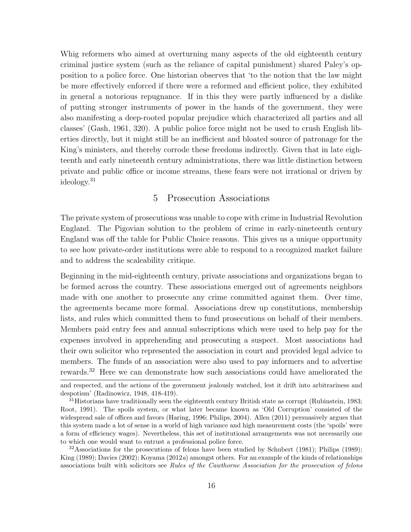Whig reformers who aimed at overturning many aspects of the old eighteenth century criminal justice system (such as the reliance of capital punishment) shared Paley's opposition to a police force. One historian observes that 'to the notion that the law might be more effectively enforced if there were a reformed and efficient police, they exhibited in general a notorious repugnance. If in this they were partly influenced by a dislike of putting stronger instruments of power in the hands of the government, they were also manifesting a deep-rooted popular prejudice which characterized all parties and all classes' (Gash, 1961, 320). A public police force might not be used to crush English liberties directly, but it might still be an inefficient and bloated source of patronage for the King's ministers, and thereby corrode these freedoms indirectly. Given that in late eighteenth and early nineteenth century administrations, there was little distinction between private and public office or income streams, these fears were not irrational or driven by ideology.<sup>31</sup>

## 5 Prosecution Associations

The private system of prosecutions was unable to cope with crime in Industrial Revolution England. The Pigovian solution to the problem of crime in early-nineteenth century England was off the table for Public Choice reasons. This gives us a unique opportunity to see how private-order institutions were able to respond to a recognized market failure and to address the scaleability critique.

Beginning in the mid-eighteenth century, private associations and organizations began to be formed across the country. These associations emerged out of agreements neighbors made with one another to prosecute any crime committed against them. Over time, the agreements became more formal. Associations drew up constitutions, membership lists, and rules which committed them to fund prosecutions on behalf of their members. Members paid entry fees and annual subscriptions which were used to help pay for the expenses involved in apprehending and prosecuting a suspect. Most associations had their own solicitor who represented the association in court and provided legal advice to members. The funds of an association were also used to pay informers and to advertise rewards.<sup>32</sup> Here we can demonstrate how such associations could have ameliorated the

and respected, and the actions of the government jealously watched, lest it drift into arbitrariness and despotism' (Radinowicz, 1948, 418-419).

 $31$  Historians have traditionally seen the eighteenth century British state as corrupt (Rubinstein, 1983; Root, 1991). The spoils system, or what later became known as 'Old Corruption' consisted of the widespread sale of offices and favors (Haring, 1996; Philips, 2004). Allen (2011) persuasively argues that this system made a lot of sense in a world of high variance and high measurement costs (the 'spoils' were a form of efficiency wages). Nevertheless, this set of institutional arrangements was not necessarily one to which one would want to entrust a professional police force.

 $32$ Associations for the prosecutions of felons have been studied by Schubert (1981); Philips (1989); King (1989); Davies (2002); Koyama (2012a) amongst others. For an example of the kinds of relationships associations built with solicitors see Rules of the Cawthorne Association for the prosecution of felons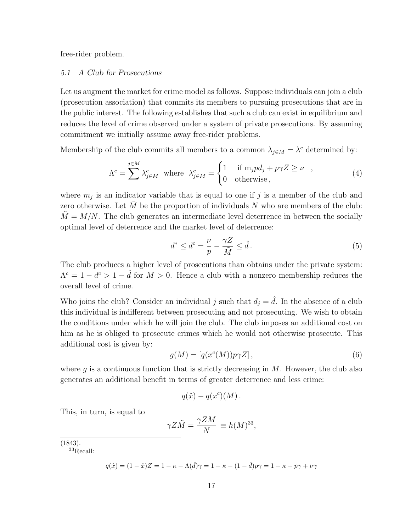free-rider problem.

#### 5.1 A Club for Prosecutions

Let us augment the market for crime model as follows. Suppose individuals can join a club (prosecution association) that commits its members to pursuing prosecutions that are in the public interest. The following establishes that such a club can exist in equilibrium and reduces the level of crime observed under a system of private prosecutions. By assuming commitment we initially assume away free-rider problems.

Membership of the club commits all members to a common  $\lambda_{j \in M} = \lambda^c$  determined by:

$$
\Lambda^{c} = \sum_{j \in M} \lambda_{j \in M}^{c} \text{ where } \lambda_{j \in M}^{c} = \begin{cases} 1 & \text{if } \mathrm{m}_{j} p d_{j} + p \gamma Z \ge \nu \\ 0 & \text{otherwise} \end{cases}, \tag{4}
$$

where  $m_j$  is an indicator variable that is equal to one if j is a member of the club and zero otherwise. Let  $\tilde{M}$  be the proportion of individuals N who are members of the club:  $M = M/N$ . The club generates an intermediate level deterrence in between the socially optimal level of deterrence and the market level of deterrence:

$$
d^* \le d^c = \frac{\nu}{p} - \frac{\gamma Z}{\tilde{M}} \le \hat{d} \,. \tag{5}
$$

The club produces a higher level of prosecutions than obtains under the private system:  $\Lambda^c = 1 - d^c > 1 - \hat{d}$  for  $M > 0$ . Hence a club with a nonzero membership reduces the overall level of crime.

Who joins the club? Consider an individual j such that  $d_i = \hat{d}$ . In the absence of a club this individual is indifferent between prosecuting and not prosecuting. We wish to obtain the conditions under which he will join the club. The club imposes an additional cost on him as he is obliged to prosecute crimes which he would not otherwise prosecute. This additional cost is given by:

$$
g(M) = [q(xc(M))p\gamma Z], \qquad (6)
$$

where  $g$  is a continuous function that is strictly decreasing in  $M$ . However, the club also generates an additional benefit in terms of greater deterrence and less crime:

$$
q(\hat{x}) - q(x^c)(M) .
$$

This, in turn, is equal to

$$
\gamma Z \tilde{M} = \frac{\gamma Z M}{N} \equiv h(M)^{33},
$$

(1843).

<sup>33</sup>Recall:

$$
q(\hat{x})=(1-\hat{x})Z=1-\kappa-\Lambda(\hat{d})\gamma=1-\kappa-(1-\hat{d})p\gamma=1-\kappa-p\gamma+\nu\gamma
$$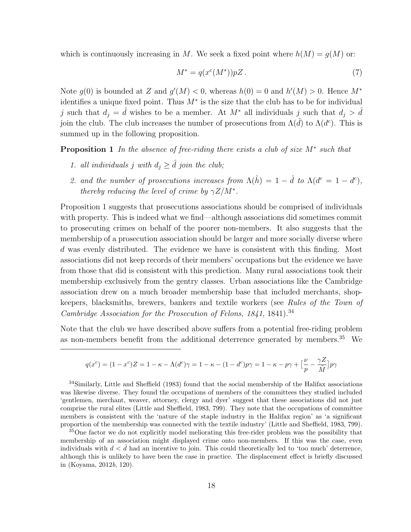which is continuously increasing in M. We seek a fixed point where  $h(M) = g(M)$  or:

$$
M^* = q(x^c(M^*))pZ.
$$
\n<sup>(7)</sup>

Note  $g(0)$  is bounded at Z and  $g'(M) < 0$ , whereas  $h(0) = 0$  and  $h'(M) > 0$ . Hence  $M^*$ identifies a unique fixed point. Thus  $M^*$  is the size that the club has to be for individual j such that  $d_j = \hat{d}$  wishes to be a member. At  $M^*$  all individuals j such that  $d_j > \hat{d}$ join the club. The club increases the number of prosecutions from  $\Lambda(\hat{d})$  to  $\Lambda(d^c)$ . This is summed up in the following proposition.

Proposition 1 *In the absence of free-riding there exists a club of size* M<sup>∗</sup> *such that*

- *1. all individuals j* with  $d_j \geq \hat{d}$  *join the club;*
- 2. and the number of prosecutions increases from  $\Lambda(\hat{h}) = 1 \hat{d}$  to  $\Lambda(d^c = 1 d^c)$ , *thereby reducing the level of crime by*  $\gamma Z/M^*$ *.*

Proposition 1 suggests that prosecutions associations should be comprised of individuals with property. This is indeed what we find—although associations did sometimes commit to prosecuting crimes on behalf of the poorer non-members. It also suggests that the membership of a prosecution association should be larger and more socially diverse where d was evenly distributed. The evidence we have is consistent with this finding. Most associations did not keep records of their members' occupations but the evidence we have from those that did is consistent with this prediction. Many rural associations took their membership exclusively from the gentry classes. Urban associations like the Cambridge association drew on a much broader membership base that included merchants, shopkeepers, blacksmiths, brewers, bankers and textile workers (see *Rules of the Town of Cambridge Association for the Prosecution of Felons, 1841*, 1841).<sup>34</sup>

Note that the club we have described above suffers from a potential free-riding problem as non-members benefit from the additional deterrence generated by members.<sup>35</sup> We

$$
q(x^{c}) = (1 - x^{c})Z = 1 - \kappa - \Lambda(d^{c})\gamma = 1 - \kappa - (1 - d^{c})p\gamma = 1 - \kappa - p\gamma + \left[\frac{\nu}{p} - \frac{\gamma Z}{\tilde{M}}\right]p\gamma
$$

<sup>34</sup>Similarly, Little and Sheffield (1983) found that the social membership of the Halifax associations was likewise diverse. They found the occupations of members of the committees they studied included 'gentlemen, merchant, weaver, attorney, clergy and dyer' suggest that these associations did not just comprise the rural elites (Little and Sheffield, 1983, 799). They note that the occupations of committee members is consistent with the 'nature of the staple industry in the Halifax region' as 'a significant proportion of the membership was connected with the textile industry' (Little and Sheffield, 1983, 799).

<sup>35</sup>One factor we do not explicitly model meliorating this free-rider problem was the possibility that membership of an association might displayed crime onto non-members. If this was the case, even individuals with  $d < d$  had an incentive to join. This could theoretically led to 'too much' deterrence, although this is unlikely to have been the case in practice. The displacement effect is briefly discussed in (Koyama, 2012b, 120).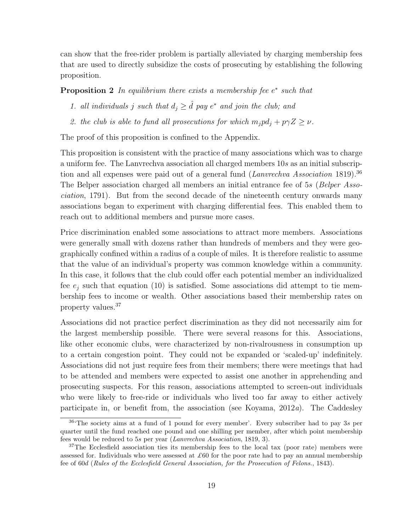can show that the free-rider problem is partially alleviated by charging membership fees that are used to directly subsidize the costs of prosecuting by establishing the following proposition.

**Proposition 2** In equilibrium there exists a membership fee  $e^*$  such that

- 1. all individuals j such that  $d_j \geq \hat{d}$  pay  $e^*$  and join the club; and
- *2. the club is able to fund all prosecutions for which*  $m_j p d_j + p \gamma Z \geq \nu$ .

The proof of this proposition is confined to the Appendix.

This proposition is consistent with the practice of many associations which was to charge a uniform fee. The Lanvrechva association all charged members 10s as an initial subscription and all expenses were paid out of a general fund (*Lanvrechva Association* 1819).<sup>36</sup> The Belper association charged all members an initial entrance fee of 5s (*Belper Association*, 1791). But from the second decade of the nineteenth century onwards many associations began to experiment with charging differential fees. This enabled them to reach out to additional members and pursue more cases.

Price discrimination enabled some associations to attract more members. Associations were generally small with dozens rather than hundreds of members and they were geographically confined within a radius of a couple of miles. It is therefore realistic to assume that the value of an individual's property was common knowledge within a community. In this case, it follows that the club could offer each potential member an individualized fee  $e_j$  such that equation (10) is satisfied. Some associations did attempt to tie membership fees to income or wealth. Other associations based their membership rates on property values.<sup>37</sup>

Associations did not practice perfect discrimination as they did not necessarily aim for the largest membership possible. There were several reasons for this. Associations, like other economic clubs, were characterized by non-rivalrousness in consumption up to a certain congestion point. They could not be expanded or 'scaled-up' indefinitely. Associations did not just require fees from their members; there were meetings that had to be attended and members were expected to assist one another in apprehending and prosecuting suspects. For this reason, associations attempted to screen-out individuals who were likely to free-ride or individuals who lived too far away to either actively participate in, or benefit from, the association (see Koyama, 2012*a*). The Caddesley

<sup>&</sup>lt;sup>36</sup>The society aims at a fund of 1 pound for every member'. Every subscriber had to pay 3s per quarter until the fund reached one pound and one shilling per member, after which point membership fees would be reduced to 5s per year (Lanvrechva Association, 1819, 3).

<sup>&</sup>lt;sup>37</sup>The Ecclesfield association ties its membership fees to the local tax (poor rate) members were assessed for. Individuals who were assessed at  $\pounds 60$  for the poor rate had to pay an annual membership fee of 60d (Rules of the Ecclesfield General Association, for the Prosecution of Felons., 1843).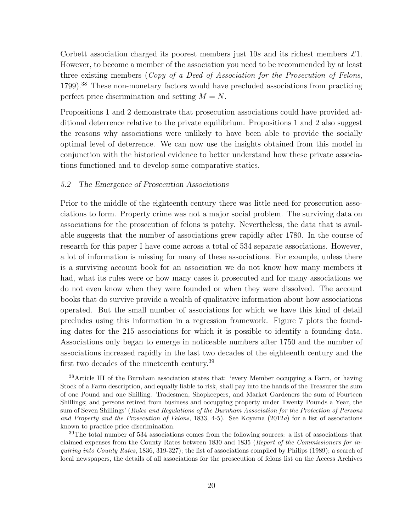Corbett association charged its poorest members just 10s and its richest members *£*1. However, to become a member of the association you need to be recommended by at least three existing members (*Copy of a Deed of Association for the Prosecution of Felons*, 1799).<sup>38</sup> These non-monetary factors would have precluded associations from practicing perfect price discrimination and setting  $M = N$ .

Propositions 1 and 2 demonstrate that prosecution associations could have provided additional deterrence relative to the private equilibrium. Propositions 1 and 2 also suggest the reasons why associations were unlikely to have been able to provide the socially optimal level of deterrence. We can now use the insights obtained from this model in conjunction with the historical evidence to better understand how these private associations functioned and to develop some comparative statics.

#### 5.2 The Emergence of Prosecution Associations

Prior to the middle of the eighteenth century there was little need for prosecution associations to form. Property crime was not a major social problem. The surviving data on associations for the prosecution of felons is patchy. Nevertheless, the data that is available suggests that the number of associations grew rapidly after 1780. In the course of research for this paper I have come across a total of 534 separate associations. However, a lot of information is missing for many of these associations. For example, unless there is a surviving account book for an association we do not know how many members it had, what its rules were or how many cases it prosecuted and for many associations we do not even know when they were founded or when they were dissolved. The account books that do survive provide a wealth of qualitative information about how associations operated. But the small number of associations for which we have this kind of detail precludes using this information in a regression framework. Figure 7 plots the founding dates for the 215 associations for which it is possible to identify a founding data. Associations only began to emerge in noticeable numbers after 1750 and the number of associations increased rapidly in the last two decades of the eighteenth century and the first two decades of the nineteenth century.<sup>39</sup>

<sup>38</sup>Article III of the Burnham association states that: 'every Member occupying a Farm, or having Stock of a Farm description, and equally liable to risk, shall pay into the hands of the Treasurer the sum of one Pound and one Shilling. Tradesmen, Shopkeepers, and Market Gardeners the sum of Fourteen Shillings; and persons retired from business and occupying property under Twenty Pounds a Year, the sum of Seven Shillings' (Rules and Regulations of the Burnham Association for the Protection of Persons and Property and the Prosecution of Felons, 1833, 4-5). See Koyama (2012a) for a list of associations known to practice price discrimination.

<sup>&</sup>lt;sup>39</sup>The total number of 534 associations comes from the following sources: a list of associations that claimed expenses from the County Rates between 1830 and 1835 (Report of the Commissioners for inquiring into County Rates, 1836, 319-327); the list of associations compiled by Philips (1989); a search of local newspapers, the details of all associations for the prosecution of felons list on the Access Archives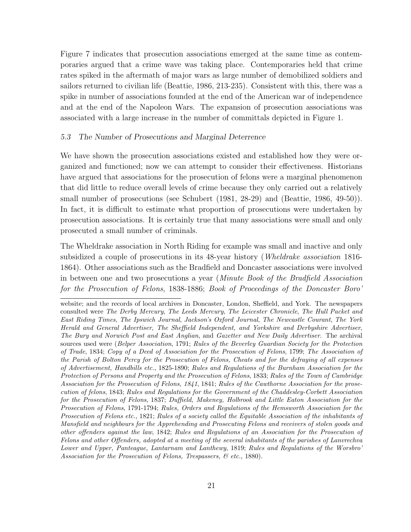Figure 7 indicates that prosecution associations emerged at the same time as contemporaries argued that a crime wave was taking place. Contemporaries held that crime rates spiked in the aftermath of major wars as large number of demobilized soldiers and sailors returned to civilian life (Beattie, 1986, 213-235). Consistent with this, there was a spike in number of associations founded at the end of the American war of independence and at the end of the Napoleon Wars. The expansion of prosecution associations was associated with a large increase in the number of committals depicted in Figure 1.

#### 5.3 The Number of Prosecutions and Marginal Deterrence

We have shown the prosecution associations existed and established how they were organized and functioned; now we can attempt to consider their effectiveness. Historians have argued that associations for the prosecution of felons were a marginal phenomenon that did little to reduce overall levels of crime because they only carried out a relatively small number of prosecutions (see Schubert (1981, 28-29) and (Beattie, 1986, 49-50)). In fact, it is difficult to estimate what proportion of prosecutions were undertaken by prosecution associations. It is certainly true that many associations were small and only prosecuted a small number of criminals.

The Wheldrake association in North Riding for example was small and inactive and only subsidized a couple of prosecutions in its 48-year history (*Wheldrake association* 1816- 1864). Other associations such as the Bradfield and Doncaster associations were involved in between one and two prosecutions a year (*Minute Book of the Bradfield Association for the Prosecution of Felons*, 1838-1886; *Book of Proceedings of the Doncaster Boro'*

website; and the records of local archives in Doncaster, London, Sheffield, and York. The newspapers consulted were The Derby Mercury, The Leeds Mercury, The Leicester Chronicle, The Hull Packet and East Riding Times, The Ipswich Journal, Jackson's Oxford Journal, The Newcastle Courant, The York Herald and General Advertiser, The Sheffield Independent, and Yorkshire and Derbyshire Advertiser, The Bury and Norwich Post and East Anglian, and Gazetter and New Daily Advertiser. The archival sources used were (Belper Association, 1791; Rules of the Beverley Guardian Society for the Protection of Trade, 1834; Copy of a Deed of Association for the Prosecution of Felons, 1799; The Association of the Parish of Bolton Percy for the Prosecution of Felons, Cheats and for the defraying of all expenses of Advertisement, Handbills etc., 1825-1890; Rules and Regulations of the Burnham Association for the Protection of Persons and Property and the Prosecution of Felons, 1833; Rules of the Town of Cambridge Association for the Prosecution of Felons, 1841, 1841; Rules of the Cawthorne Association for the prosecution of felons, 1843; Rules and Regulations for the Government of the Chaddesley-Corbett Association for the Prosecution of Felons, 1837; Duffield, Makeney, Holbrook and Little Eaton Association for the Prosecution of Felons, 1791-1794; Rules, Orders and Regulations of the Hemsworth Association for the Prosecution of Felons etc., 1821; Rules of a society called the Equitable Association of the inhabitants of Mansfield and neighbours for the Apprehending and Prosecuting Felons and receivers of stolen goods and other offenders against the law, 1842; Rules and Regulations of an Association for the Prosecution of Felons and other Offenders, adopted at a meeting of the several inhabitants of the parishes of Lanvrechva Lower and Upper, Panteague, Lantarnam and Lanthewy, 1819; Rules and Regulations of the Worsbro' Association for the Prosecution of Felons, Trespassers, & etc., 1880).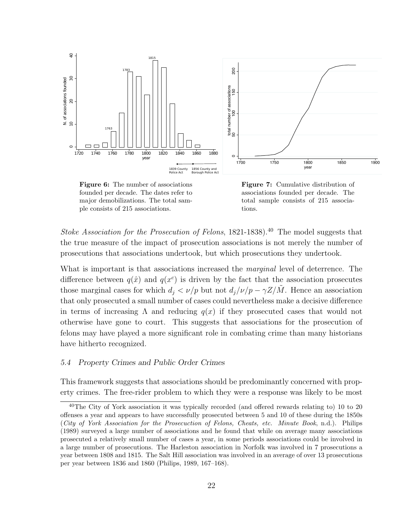

Figure 6: The number of associations founded per decade. The dates refer to major demobilizations. The total sample consists of 215 associations.

Figure 7: Cumulative distribution of associations founded per decade. The total sample consists of 215 associations.

*Stoke Association for the Prosecution of Felons*, 1821-1838).<sup>40</sup> The model suggests that the true measure of the impact of prosecution associations is not merely the number of prosecutions that associations undertook, but which prosecutions they undertook.

What is important is that associations increased the *marginal* level of deterrence. The difference between  $q(\hat{x})$  and  $q(x^c)$  is driven by the fact that the association prosecutes those marginal cases for which  $d_i < \nu/p$  but not  $d_i/\nu/p - \gamma Z/M$ . Hence an association that only prosecuted a small number of cases could nevertheless make a decisive difference in terms of increasing  $\Lambda$  and reducing  $q(x)$  if they prosecuted cases that would not otherwise have gone to court. This suggests that associations for the prosecution of felons may have played a more significant role in combating crime than many historians have hitherto recognized.

#### 5.4 Property Crimes and Public Order Crimes

This framework suggests that associations should be predominantly concerned with property crimes. The free-rider problem to which they were a response was likely to be most

 $40$ The City of York association it was typically recorded (and offered rewards relating to) 10 to 20 offenses a year and appears to have successfully prosecuted between 5 and 10 of these during the 1850s (City of York Association for the Prosecuction of Felons, Cheats, etc. Minute Book, n.d.). Philips (1989) surveyed a large number of associations and he found that while on average many associations prosecuted a relatively small number of cases a year, in some periods associations could be involved in a large number of prosecutions. The Harleston association in Norfolk was involved in 7 prosecutions a year between 1808 and 1815. The Salt Hill association was involved in an average of over 13 prosecutions per year between 1836 and 1860 (Philips, 1989, 167–168).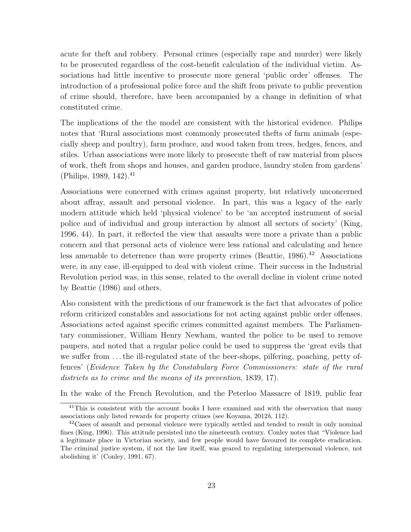acute for theft and robbery. Personal crimes (especially rape and murder) were likely to be prosecuted regardless of the cost-benefit calculation of the individual victim. Associations had little incentive to prosecute more general 'public order' offenses. The introduction of a professional police force and the shift from private to public prevention of crime should, therefore, have been accompanied by a change in definition of what constituted crime.

The implications of the the model are consistent with the historical evidence. Philips notes that 'Rural associations most commonly prosecuted thefts of farm animals (especially sheep and poultry), farm produce, and wood taken from trees, hedges, fences, and stiles. Urban associations were more likely to prosecute theft of raw material from places of work, theft from shops and houses, and garden produce, laundry stolen from gardens' (Philips, 1989, 142).<sup>41</sup>

Associations were concerned with crimes against property, but relatively unconcerned about affray, assault and personal violence. In part, this was a legacy of the early modern attitude which held 'physical violence' to be 'an accepted instrument of social police and of individual and group interaction by almost all sectors of society' (King, 1996, 44). In part, it reflected the view that assaults were more a private than a public concern and that personal acts of violence were less rational and calculating and hence less amenable to deterrence than were property crimes (Beattie,  $1986$ ).<sup>42</sup> Associations were, in any case, ill-equipped to deal with violent crime. Their success in the Industrial Revolution period was, in this sense, related to the overall decline in violent crime noted by Beattie (1986) and others.

Also consistent with the predictions of our framework is the fact that advocates of police reform criticized constables and associations for not acting against public order offenses. Associations acted against specific crimes committed against members. The Parliamentary commissioner, William Henry Newham, wanted the police to be used to remove paupers, and noted that a regular police could be used to suppress the 'great evils that we suffer from . . . the ill-regulated state of the beer-shops, pilfering, poaching, petty offences' (*Evidence Taken by the Constabulary Force Commissioners: state of the rural districts as to crime and the means of its prevention*, 1839, 17).

In the wake of the French Revolution, and the Peterloo Massacre of 1819, public fear

 $41$ This is consistent with the account books I have examined and with the observation that many associations only listed rewards for property crimes (see Koyama, 2012b, 112).

 $^{42}$ Cases of assault and personal violence were typically settled and tended to result in only nominal fines (King, 1996). This attitude persisted into the nineteenth century. Conley notes that "Violence had a legitimate place in Victorian society, and few people would have favoured its complete eradication. The criminal justice system, if not the law itself, was geared to regulating interpersonal violence, not abolishing it' (Conley, 1991, 67).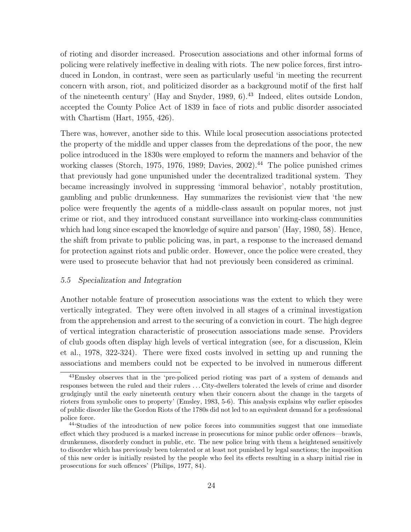of rioting and disorder increased. Prosecution associations and other informal forms of policing were relatively ineffective in dealing with riots. The new police forces, first introduced in London, in contrast, were seen as particularly useful 'in meeting the recurrent concern with arson, riot, and politicized disorder as a background motif of the first half of the nineteenth century' (Hay and Snyder, 1989, 6).<sup>43</sup> Indeed, elites outside London, accepted the County Police Act of 1839 in face of riots and public disorder associated with Chartism (Hart, 1955, 426).

There was, however, another side to this. While local prosecution associations protected the property of the middle and upper classes from the depredations of the poor, the new police introduced in the 1830s were employed to reform the manners and behavior of the working classes (Storch, 1975, 1976, 1989; Davies, 2002).<sup>44</sup> The police punished crimes that previously had gone unpunished under the decentralized traditional system. They became increasingly involved in suppressing 'immoral behavior', notably prostitution, gambling and public drunkenness. Hay summarizes the revisionist view that 'the new police were frequently the agents of a middle-class assault on popular mores, not just crime or riot, and they introduced constant surveillance into working-class communities which had long since escaped the knowledge of squire and parson' (Hay, 1980, 58). Hence, the shift from private to public policing was, in part, a response to the increased demand for protection against riots and public order. However, once the police were created, they were used to prosecute behavior that had not previously been considered as criminal.

#### 5.5 Specialization and Integration

Another notable feature of prosecution associations was the extent to which they were vertically integrated. They were often involved in all stages of a criminal investigation from the apprehension and arrest to the securing of a conviction in court. The high degree of vertical integration characteristic of prosecution associations made sense. Providers of club goods often display high levels of vertical integration (see, for a discussion, Klein et al., 1978, 322-324). There were fixed costs involved in setting up and running the associations and members could not be expected to be involved in numerous different

<sup>&</sup>lt;sup>43</sup>Emsley observes that in the 'pre-policed period rioting was part of a system of demands and responses between the ruled and their rulers . . . City-dwellers tolerated the levels of crime and disorder grudgingly until the early nineteenth century when their concern about the change in the targets of rioters from symbolic ones to property' (Emsley, 1983, 5-6). This analysis explains why earlier episodes of public disorder like the Gordon Riots of the 1780s did not led to an equivalent demand for a professional police force.

<sup>44</sup>'Studies of the introduction of new police forces into communities suggest that one immediate effect which they produced is a marked increase in prosecutions for minor public order offences—brawls, drunkenness, disorderly conduct in public, etc. The new police bring with them a heightened sensitively to disorder which has previously been tolerated or at least not punished by legal sanctions; the imposition of this new order is initially resisted by the people who feel its effects resulting in a sharp initial rise in prosecutions for such offences' (Philips, 1977, 84).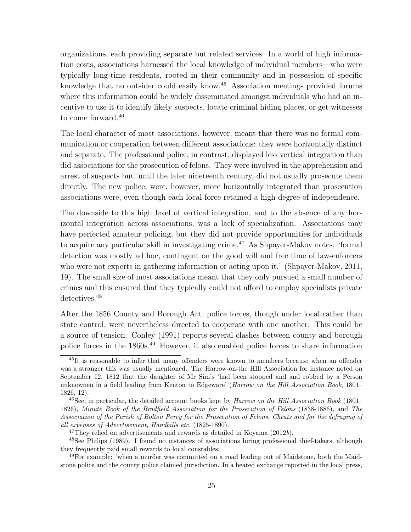organizations, each providing separate but related services. In a world of high information costs, associations harnessed the local knowledge of individual members—who were typically long-time residents, rooted in their community and in possession of specific knowledge that no outsider could easily know.<sup>45</sup> Association meetings provided forums where this information could be widely disseminated amongst individuals who had an incentive to use it to identify likely suspects, locate criminal hiding places, or get witnesses to come forward.<sup>46</sup>

The local character of most associations, however, meant that there was no formal communication or cooperation between different associations: they were horizontally distinct and separate. The professional police, in contrast, displayed less vertical integration than did associations for the prosecution of felons. They were involved in the apprehension and arrest of suspects but, until the later nineteenth century, did not usually prosecute them directly. The new police, were, however, more horizontally integrated than prosecution associations were, even though each local force retained a high degree of independence.

The downside to this high level of vertical integration, and to the absence of any horizontal integration across associations, was a lack of specialization. Associations may have perfected amateur policing, but they did not provide opportunities for individuals to acquire any particular skill in investigating crime.<sup>47</sup> As Shpayer-Makov notes: 'formal detection was mostly ad hoc, contingent on the good will and free time of law-enforcers who were not experts in gathering information or acting upon it.' (Shpayer-Makov, 2011, 19). The small size of most associations meant that they only pursued a small number of crimes and this ensured that they typically could not afford to employ specialists private detectives.<sup>48</sup>

After the 1856 County and Borough Act, police forces, though under local rather than state control, were nevertheless directed to cooperate with one another. This could be a source of tension. Conley (1991) reports several clashes between county and borough police forces in the 1860s.<sup>49</sup> However, it also enabled police forces to share information

<sup>&</sup>lt;sup>45</sup>It is reasonable to infer that many offenders were known to members because when an offender was a stranger this was usually mentioned. The Harrow-on-the HIll Association for instance noted on September 12, 1812 that the daughter of Mr Sim's 'had been stopped and and robbed by a Person unknownen in a field leading from Kenton to Edgeware' (Harrow on the Hill Association Book, 1801– 1826, 12).

 $^{46}$ See, in particular, the detailed account books kept by Harrow on the Hill Association Book (1801– 1826), Minute Book of the Bradfield Association for the Prosecution of Felons (1838-1886), and The Association of the Parish of Bolton Percy for the Prosecution of Felons, Cheats and for the defraying of all expenses of Advertisement, Handbills etc. (1825-1890).

 $^{47}$ They relied on advertisements and rewards as detailed in Koyama (2012b).

<sup>48</sup>See Philips (1989). I found no instances of associations hiring professional thief-takers, although they frequently paid small rewards to local constables.

<sup>49</sup>For example: 'when a murder was committed on a road leading out of Maidstone, both the Maidstone police and the county police claimed jurisdiction. In a heated exchange reported in the local press,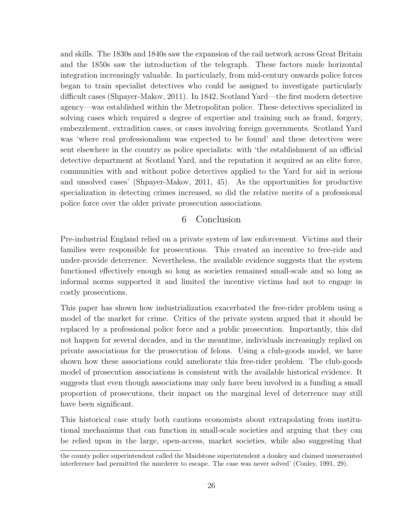and skills. The 1830s and 1840s saw the expansion of the rail network across Great Britain and the 1850s saw the introduction of the telegraph. These factors made horizontal integration increasingly valuable. In particularly, from mid-century onwards police forces began to train specialist detectives who could be assigned to investigate particularly difficult cases (Shpayer-Makov, 2011). In 1842, Scotland Yard—the first modern detective agency—was established within the Metropolitan police. These detectives specialized in solving cases which required a degree of expertise and training such as fraud, forgery, embezzlement, extradition cases, or cases involving foreign governments. Scotland Yard was 'where real professionalism was expected to be found' and these detectives were sent elsewhere in the country as police specialists: with 'the establishment of an official detective department at Scotland Yard, and the reputation it acquired as an elite force, communities with and without police detectives applied to the Yard for aid in serious and unsolved cases' (Shpayer-Makov, 2011, 45). As the opportunities for productive specialization in detecting crimes increased, so did the relative merits of a professional police force over the older private prosecution associations.

# 6 Conclusion

Pre-industrial England relied on a private system of law enforcement. Victims and their families were responsible for prosecutions. This created an incentive to free-ride and under-provide deterrence. Nevertheless, the available evidence suggests that the system functioned effectively enough so long as societies remained small-scale and so long as informal norms supported it and limited the incentive victims had not to engage in costly prosecutions.

This paper has shown how industrialization exacerbated the free-rider problem using a model of the market for crime. Critics of the private system argued that it should be replaced by a professional police force and a public prosecution. Importantly, this did not happen for several decades, and in the meantime, individuals increasingly replied on private associations for the prosecution of felons. Using a club-goods model, we have shown how these associations could ameliorate this free-rider problem. The club-goods model of prosecution associations is consistent with the available historical evidence. It suggests that even though associations may only have been involved in a funding a small proportion of prosecutions, their impact on the marginal level of deterrence may still have been significant.

This historical case study both cautions economists about extrapolating from institutional mechanisms that can function in small-scale societies and arguing that they can be relied upon in the large, open-access, market societies, while also suggesting that

the county police superintendent called the Maidstone superintendent a donkey and claimed unwarranted interference had permitted the murderer to escape. The case was never solved' (Conley, 1991, 29).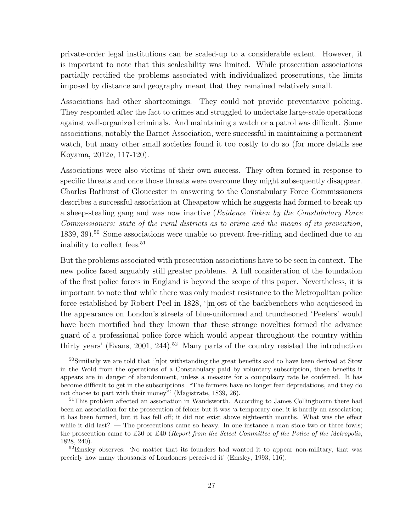private-order legal institutions can be scaled-up to a considerable extent. However, it is important to note that this scaleability was limited. While prosecution associations partially rectified the problems associated with individualized prosecutions, the limits imposed by distance and geography meant that they remained relatively small.

Associations had other shortcomings. They could not provide preventative policing. They responded after the fact to crimes and struggled to undertake large-scale operations against well-organized criminals. And maintaining a watch or a patrol was difficult. Some associations, notably the Barnet Association, were successful in maintaining a permanent watch, but many other small societies found it too costly to do so (for more details see Koyama, 2012*a*, 117-120).

Associations were also victims of their own success. They often formed in response to specific threats and once those threats were overcome they might subsequently disappear. Charles Bathurst of Gloucester in answering to the Constabulary Force Commissioners describes a successful association at Cheapstow which he suggests had formed to break up a sheep-stealing gang and was now inactive (*Evidence Taken by the Constabulary Force Commissioners: state of the rural districts as to crime and the means of its prevention*, 1839, 39).<sup>50</sup> Some associations were unable to prevent free-riding and declined due to an inability to collect fees.<sup>51</sup>

But the problems associated with prosecution associations have to be seen in context. The new police faced arguably still greater problems. A full consideration of the foundation of the first police forces in England is beyond the scope of this paper. Nevertheless, it is important to note that while there was only modest resistance to the Metropolitan police force established by Robert Peel in 1828, '[m]ost of the backbenchers who acquiesced in the appearance on London's streets of blue-uniformed and truncheoned 'Peelers' would have been mortified had they known that these strange novelties formed the advance guard of a professional police force which would appear throughout the country within thirty years' (Evans, 2001, 244).<sup>52</sup> Many parts of the country resisted the introduction

 $50$ Similarly we are told that '[n]ot withstanding the great benefits said to have been derived at Stow in the Wold from the operations of a Constabulary paid by voluntary subscription, those benefits it appears are in danger of abandonment, unless a measure for a compulsory rate be conferred. It has become difficult to get in the subscriptions. "The farmers have no longer fear depredations, and they do not choose to part with their money"' (Magistrate, 1839, 26).

<sup>&</sup>lt;sup>51</sup>This problem affected an association in Wandsworth. According to James Collingbourn there had been an association for the prosecution of felons but it was 'a temporary one; it is hardly an association; it has been formed, but it has fell off; it did not exist above eighteenth months. What was the effect while it did last? — The prosecutions came so heavy. In one instance a man stole two or three fowls; the prosecution came to £30 or £40 (Report from the Select Committee of the Police of the Metropolis, 1828, 240).

 $52$ Emsley observes: 'No matter that its founders had wanted it to appear non-military, that was preciely how many thousands of Londoners perceived it' (Emsley, 1993, 116).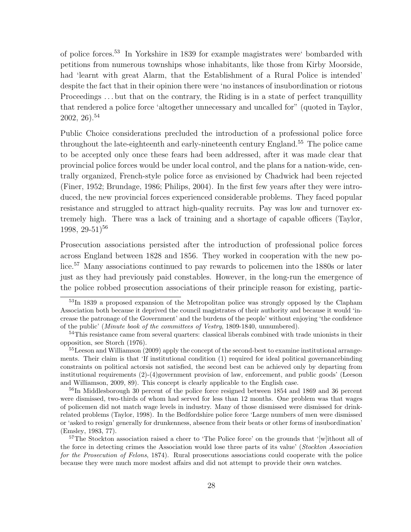of police forces.<sup>53</sup> In Yorkshire in 1839 for example magistrates were' bombarded with petitions from numerous townships whose inhabitants, like those from Kirby Moorside, had 'learnt with great Alarm, that the Establishment of a Rural Police is intended' despite the fact that in their opinion there were 'no instances of insubordination or riotous Proceedings ... but that on the contrary, the Riding is in a state of perfect tranquillity that rendered a police force 'altogether unnecessary and uncalled for" (quoted in Taylor,  $2002, 26$ ).<sup>54</sup>

Public Choice considerations precluded the introduction of a professional police force throughout the late-eighteenth and early-nineteenth century England.<sup>55</sup> The police came to be accepted only once these fears had been addressed, after it was made clear that provincial police forces would be under local control, and the plans for a nation-wide, centrally organized, French-style police force as envisioned by Chadwick had been rejected (Finer, 1952; Brundage, 1986; Philips, 2004). In the first few years after they were introduced, the new provincial forces experienced considerable problems. They faced popular resistance and struggled to attract high-quality recruits. Pay was low and turnover extremely high. There was a lack of training and a shortage of capable officers (Taylor, 1998, 29-51)<sup>56</sup>

Prosecution associations persisted after the introduction of professional police forces across England between 1828 and 1856. They worked in cooperation with the new police.<sup>57</sup> Many associations continued to pay rewards to policemen into the 1880s or later just as they had previously paid constables. However, in the long-run the emergence of the police robbed prosecution associations of their principle reason for existing, partic-

<sup>56</sup>In Middlesborough 30 percent of the police force resigned between 1854 and 1869 and 36 percent were dismissed, two-thirds of whom had served for less than 12 months. One problem was that wages of policemen did not match wage levels in industry. Many of those dismissed were dismissed for drinkrelated problems (Taylor, 1998). In the Bedfordshire police force 'Large numbers of men were dismissed or 'asked to resign' generally for drunkenness, absence from their beats or other forms of insubordination' (Emsley, 1983, 77).

<sup>53</sup>In 1839 a proposed expansion of the Metropolitan police was strongly opposed by the Clapham Association both because it deprived the council magistrates of their authority and because it would 'increase the patronage of the Government' and the burdens of the people' without enjoying 'the confidence of the public' (Minute book of the committees of Vestry, 1809-1840, unnumbered).

<sup>&</sup>lt;sup>54</sup>This resistance came from several quarters: classical liberals combined with trade unionists in their opposition, see Storch (1976).

<sup>&</sup>lt;sup>55</sup>Leeson and Williamson (2009) apply the concept of the second-best to examine institutional arrangements. Their claim is that 'If institutional condition (1) required for ideal political governancebinding constraints on political actorsis not satisfied, the second best can be achieved only by departing from institutional requirements  $(2)-(4)$  government provision of law, enforcement, and public goods' (Leeson and Williamson, 2009, 89). This concept is clearly applicable to the English case.

<sup>57</sup>The Stockton association raised a cheer to 'The Police force' on the grounds that '[w]ithout all of the force in detecting crimes the Association would lose three parts of its value' (Stockton Association for the Prosecution of Felons, 1874). Rural prosecutions associations could cooperate with the police because they were much more modest affairs and did not attempt to provide their own watches.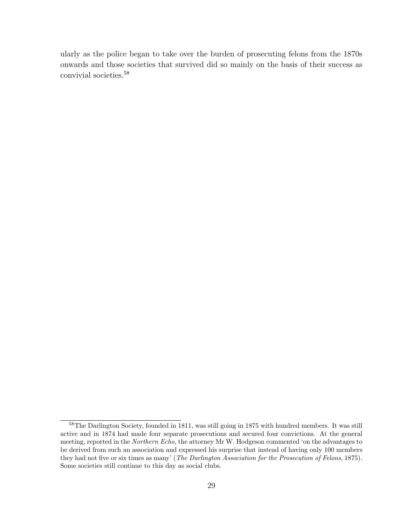ularly as the police began to take over the burden of prosecuting felons from the 1870s onwards and those societies that survived did so mainly on the basis of their success as convivial societies.<sup>58</sup>

<sup>58</sup>The Darlington Society, founded in 1811, was still going in 1875 with hundred members. It was still active and in 1874 had made four separate prosecutions and secured four convictions. At the general meeting, reported in the Northern Echo, the attorney Mr W. Hodgeson commented 'on the advantages to be derived from such an association and expressed his surprise that instead of having only 100 members they had not five or six times as many' (The Darlington Association for the Prosecution of Felons, 1875). Some societies still continue to this day as social clubs.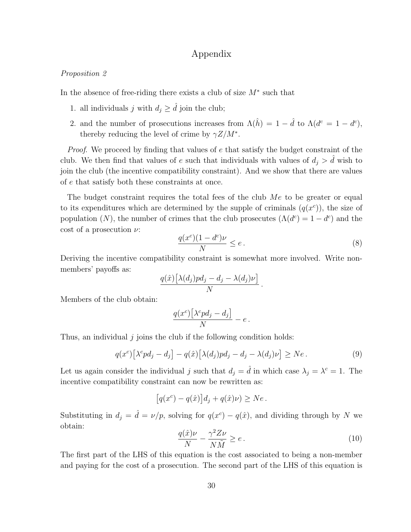## Appendix

#### *Proposition 2*

In the absence of free-riding there exists a club of size  $M^*$  such that

- 1. all individuals j with  $d_i \geq \hat{d}$  join the club;
- 2. and the number of prosecutions increases from  $\Lambda(\hat{h}) = 1 \hat{d}$  to  $\Lambda(d^c = 1 d^c)$ , thereby reducing the level of crime by  $\gamma Z/M^*$ .

*Proof.* We proceed by finding that values of e that satisfy the budget constraint of the club. We then find that values of e such that individuals with values of  $d_j > d$  wish to join the club (the incentive compatibility constraint). And we show that there are values of e that satisfy both these constraints at once.

The budget constraint requires the total fees of the club  $Me$  to be greater or equal to its expenditures which are determined by the supple of criminals  $(q(x^c))$ , the size of population (N), the number of crimes that the club prosecutes  $(\Lambda(d^c) = 1 - d^c)$  and the cost of a prosecution  $\nu$ :

$$
\frac{q(x^c)(1-d^c)\nu}{N} \le e.
$$
\n(8)

Deriving the incentive compatibility constraint is somewhat more involved. Write nonmembers' payoffs as:

$$
\frac{q(\hat{x})\big[\lambda(d_j)p d_j - d_j - \lambda(d_j)\nu\big]}{N}.
$$

Members of the club obtain:

$$
\frac{q(x^c)\big[\lambda^c p d_j - d_j\big]}{N} - e.
$$

Thus, an individual  $j$  joins the club if the following condition holds:

$$
q(x^{c})\left[\lambda^{c}pd_{j}-d_{j}\right]-q(\hat{x})\left[\lambda(d_{j})pd_{j}-d_{j}-\lambda(d_{j})\nu\right]\geq Ne.
$$
\n(9)

Let us again consider the individual j such that  $d_j = \hat{d}$  in which case  $\lambda_j = \lambda^c = 1$ . The incentive compatibility constraint can now be rewritten as:

$$
[q(xc) - q(\hat{x})]d_j + q(\hat{x})\nu) \ge Ne.
$$

Substituting in  $d_j = \hat{d} = \nu/p$ , solving for  $q(x^c) - q(\hat{x})$ , and dividing through by N we obtain:

$$
\frac{q(\hat{x})\nu}{N} - \frac{\gamma^2 Z \nu}{N\tilde{M}} \ge e. \tag{10}
$$

The first part of the LHS of this equation is the cost associated to being a non-member and paying for the cost of a prosecution. The second part of the LHS of this equation is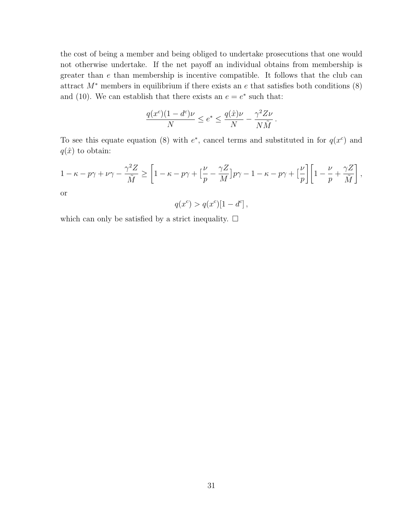the cost of being a member and being obliged to undertake prosecutions that one would not otherwise undertake. If the net payoff an individual obtains from membership is greater than e than membership is incentive compatible. It follows that the club can attract  $M^*$  members in equilibrium if there exists an e that satisfies both conditions  $(8)$ and (10). We can establish that there exists an  $e = e^*$  such that:

$$
\frac{q(x^c)(1-d^c)\nu}{N} \le e^* \le \frac{q(\hat{x})\nu}{N} - \frac{\gamma^2 Z \nu}{N\tilde{M}}.
$$

To see this equate equation (8) with  $e^*$ , cancel terms and substituted in for  $q(x^c)$  and  $q(\hat{x})$  to obtain:

$$
1 - \kappa - p\gamma + \nu\gamma - \frac{\gamma^2 Z}{\tilde{M}} \ge \left[1 - \kappa - p\gamma + \left[\frac{\nu}{p} - \frac{\gamma Z}{M}\right]p\gamma - 1 - \kappa - p\gamma + \left[\frac{\nu}{p}\right]\left[1 - \frac{\nu}{p} + \frac{\gamma Z}{\tilde{M}}\right],
$$
 or

$$
q(x^{c}) > q(x^{c})[1 - d^{c}],
$$

which can only be satisfied by a strict inequality.  $\Box$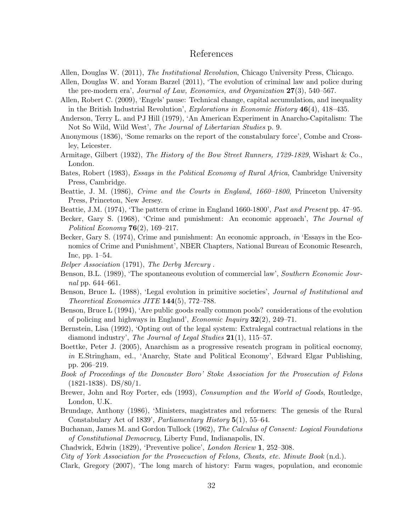#### References

- Allen, Douglas W. (2011), The Institutional Revolution, Chicago University Press, Chicago.
- Allen, Douglas W. and Yoram Barzel (2011), 'The evolution of criminal law and police during the pre-modern era', Journal of Law, Economics, and Organization 27(3), 540–567.
- Allen, Robert C. (2009), 'Engels' pause: Technical change, capital accumulation, and inequality in the British Industrial Revolution', *Explorations in Economic History*  $46(4)$ ,  $418-435$ .
- Anderson, Terry L. and PJ Hill (1979), 'An American Experiment in Anarcho-Capitalism: The Not So Wild, Wild West', The Journal of Libertarian Studies p. 9.
- Anonymous (1836), 'Some remarks on the report of the constabulary force', Combe and Crossley, Leicester.
- Armitage, Gilbert (1932), The History of the Bow Street Runners, 1729-1829, Wishart & Co., London.
- Bates, Robert (1983), Essays in the Political Economy of Rural Africa, Cambridge University Press, Cambridge.
- Beattie, J. M. (1986), Crime and the Courts in England, 1660–1800, Princeton University Press, Princeton, New Jersey.
- Beattie, J.M. (1974), 'The pattern of crime in England 1660-1800', Past and Present pp. 47–95.
- Becker, Gary S. (1968), 'Crime and punishment: An economic approach', The Journal of Political Economy  $76(2)$ , 169-217.
- Becker, Gary S. (1974), Crime and punishment: An economic approach, in 'Essays in the Economics of Crime and Punishment', NBER Chapters, National Bureau of Economic Research, Inc, pp. 1–54.
- Belper Association (1791), The Derby Mercury .
- Benson, B.L. (1989), 'The spontaneous evolution of commercial law', Southern Economic Journal pp. 644–661.
- Benson, Bruce L. (1988), 'Legal evolution in primitive societies', *Journal of Institutional and* Theoretical Economics JITE 144(5), 772–788.
- Benson, Bruce L (1994), 'Are public goods really common pools? considerations of the evolution of policing and highways in England', *Economic Inquiry*  $32(2)$ ,  $249-71$ .
- Bernstein, Lisa (1992), 'Opting out of the legal system: Extralegal contractual relations in the diamond industry', The Journal of Legal Studies  $21(1)$ , 115–57.
- Boettke, Peter J. (2005), Anarchism as a progressive reseatch program in political eocnomy, in E.Stringham, ed., 'Anarchy, State and Political Economy', Edward Elgar Publishing, pp. 206–219.
- Book of Proceedings of the Doncaster Boro' Stoke Association for the Prosecution of Felons (1821-1838). DS/80/1.
- Brewer, John and Roy Porter, eds (1993), *Consumption and the World of Goods*, Routledge, London, U.K.
- Brundage, Anthony (1986), 'Ministers, magistrates and reformers: The genesis of the Rural Constabulary Act of 1839', *Parliamentary History* 5(1), 55–64.
- Buchanan, James M. and Gordon Tullock (1962), The Calculus of Consent: Logical Foundations of Constitutional Democracy, Liberty Fund, Indianapolis, IN.

Chadwick, Edwin (1829), 'Preventive police', London Review 1, 252–308.

City of York Association for the Prosecuction of Felons, Cheats, etc. Minute Book (n.d.).

Clark, Gregory (2007), 'The long march of history: Farm wages, population, and economic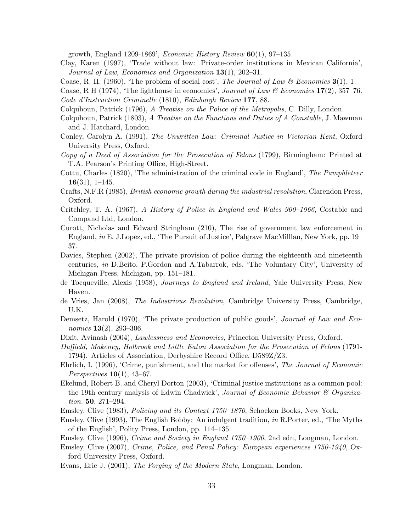growth, England 1209-1869', *Economic History Review*  $60(1)$ , 97-135.

Clay, Karen (1997), 'Trade without law: Private-order institutions in Mexican California', Journal of Law, Economics and Organization 13(1), 202–31.

Coase, R. H. (1960), 'The problem of social cost', The Journal of Law & Economics  $3(1)$ , 1.

Coase, R H (1974), 'The lighthouse in economics', Journal of Law & Economics  $17(2)$ , 357–76.

Code d'Instruction Criminelle (1810), Edinburgh Review 177, 88.

- Colquhoun, Patrick (1796), A Treatise on the Police of the Metropolis, C. Dilly, London.
- Colquhoun, Patrick (1803), A Treatise on the Functions and Duties of A Constable, J. Mawman and J. Hatchard, London.
- Conley, Carolyn A. (1991), The Unwritten Law: Criminal Justice in Victorian Kent, Oxford University Press, Oxford.
- Copy of a Deed of Association for the Prosecution of Felons (1799), Birmingham: Printed at T.A. Pearson's Printing Office, High-Street.
- Cottu, Charles (1820), 'The administration of the criminal code in England', The Pamphleteer  $16(31), 1-145.$
- Crafts, N.F.R (1985), British economic growth during the industrial revolution, Clarendon Press, Oxford.
- Critchley, T. A. (1967), A History of Police in England and Wales 900–1966, Costable and Compand Ltd, London.
- Curott, Nicholas and Edward Stringham (210), The rise of government law enforcement in England, in E. J.Lopez, ed., 'The Pursuit of Justice', Palgrave MacMilllan, New York, pp. 19– 37.
- Davies, Stephen (2002), The private provision of police during the eighteenth and nineteenth centuries, in D.Beito, P.Gordon and A.Tabarrok, eds, 'The Voluntary City', University of Michigan Press, Michigan, pp. 151–181.
- de Tocqueville, Alexis (1958), Journeys to England and Ireland, Yale University Press, New Haven.
- de Vries, Jan (2008), The Industrious Revolution, Cambridge University Press, Cambridge, U.K.
- Demsetz, Harold (1970), 'The private production of public goods', *Journal of Law and Eco*nomics **13**(2), 293-306.
- Dixit, Avinash (2004), *Lawlessness and Economics*, Princeton University Press, Oxford.
- Duffield, Makeney, Holbrook and Little Eaton Association for the Prosecution of Felons (1791- 1794). Articles of Association, Derbyshire Record Office, D589Z/Z3.
- Ehrlich, I. (1996), 'Crime, punishment, and the market for offenses', The Journal of Economic Perspectives  $10(1)$ , 43–67.
- Ekelund, Robert B. and Cheryl Dorton (2003), 'Criminal justice institutions as a common pool: the 19th century analysis of Edwin Chadwick', Journal of Economic Behavior  $\mathcal C$  Organization. 50, 271–294.
- Emsley, Clive (1983), Policing and its Context 1750–1870, Schocken Books, New York.
- Emsley, Clive (1993), The English Bobby: An indulgent tradition, in R.Porter, ed., 'The Myths of the English', Polity Press, London, pp. 114–135.
- Emsley, Clive (1996), Crime and Society in England 1750–1900, 2nd edn, Longman, London.
- Emsley, Clive (2007), Crime, Police, and Penal Policy: European experiences 1750-1940, Oxford University Press, Oxford.
- Evans, Eric J. (2001), The Forging of the Modern State, Longman, London.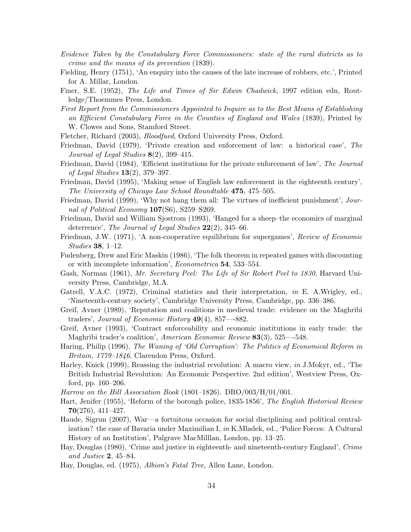- Evidence Taken by the Constabulary Force Commissioners: state of the rural districts as to crime and the means of its prevention (1839).
- Fielding, Henry (1751), 'An enquiry into the causes of the late increase of robbers, etc.', Printed for A. Millar, London.
- Finer, S.E. (1952), The Life and Times of Sir Edwin Chadwick, 1997 edition edn, Routledge/Thoemmes Press, London.
- First Report from the Commissioners Appointed to Inquire as to the Best Means of Establishing an Efficient Constabulary Force in the Counties of England and Wales (1839), Printed by W. Clowes and Sons, Stamford Street.
- Fletcher, Richard (2003), Bloodfued, Oxford University Press, Oxford.
- Friedman, David (1979), 'Private creation and enforcement of law: a historical case', The Journal of Legal Studies  $8(2)$ , 399-415.
- Friedman, David (1984), 'Efficient institutions for the private enforcement of law', The Journal of Legal Studies  $13(2)$ , 379–397.
- Friedman, David (1995), 'Making sense of English law enforcement in the eighteenth century', The University of Chicago Law School Roundtable 475, 475–505.
- Friedman, David (1999), 'Why not hang them all: The virtues of inefficient punishment', Journal of Political Economy 107(S6), S259-S269.
- Friedman, David and William Sjostrom (1993), 'Hanged for a sheep–the economics of marginal deterrence', The Journal of Legal Studies  $22(2)$ , 345–66.
- Friedman, J.W. (1971), 'A non-cooperative equilibrium for supergames', Review of Economic Studies 38, 1–12.
- Fudenberg, Drew and Eric Maskin (1986), 'The folk theorem in repeated games with discounting or with incomplete information', *Econometrica* 54, 533–554.
- Gash, Norman (1961), Mr. Secretary Peel: The Life of Sir Robert Peel to 1830, Harvard University Press, Cambridge, M.A.
- Gatrell, V.A.C. (1972), Criminal statistics and their interpretation, in E. A.Wrigley, ed., 'Nineteenth-century society', Cambridge University Press, Cambridge, pp. 336–386.
- Greif, Avner (1989), 'Reputation and coalitions in medieval trade: evidence on the Maghribi traders', Journal of Economic History  $49(4)$ , 857—882.
- Greif, Avner (1993), 'Contract enforceability and economic institutions in early trade: the Maghribi trader's coalition', American Economic Review 83(3), 525—548.
- Haring, Philip (1996), The Waning of 'Old Corruption': The Politics of Economical Reform in Britain, 1779–1846, Clarendon Press, Oxford.
- Harley, Knick (1999), Reassing the industrial revolution: A macro view, in J.Mokyr, ed., 'The British Industrial Revolution: An Economic Perspective. 2nd edition', Westview Press, Oxford, pp. 160–206.
- Harrow on the Hill Association Book (1801–1826). DRO/003/H/01/001.
- Hart, Jenifer (1955), 'Reform of the borough police, 1835-1856', The English Historical Review  $70(276), 411-427.$
- Haude, Sigrun (2007), War—a fortuitous occasion for social disciplining and political centralization? the case of Bavaria under Maximilian I, in K.Mladek, ed., 'Police Forces: A Cultural History of an Institution', Palgrave MacMilllan, London, pp. 13–25.
- Hay, Douglas (1980), 'Crime and justice in eighteenth- and nineteenth-century England', Crime and Justice 2, 45–84.
- Hay, Douglas, ed. (1975), Albion's Fatal Tree, Allen Lane, London.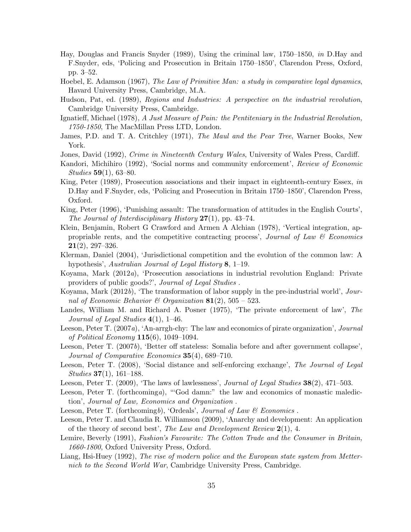- Hay, Douglas and Francis Snyder (1989), Using the criminal law, 1750–1850, in D.Hay and F.Snyder, eds, 'Policing and Prosecution in Britain 1750–1850', Clarendon Press, Oxford, pp. 3–52.
- Hoebel, E. Adamson (1967), The Law of Primitive Man: a study in comparative legal dynamics, Havard University Press, Cambridge, M.A.
- Hudson, Pat, ed. (1989), Regions and Industries: A perspective on the industrial revolution, Cambridge University Press, Cambridge.
- Ignatieff, Michael (1978), A Just Measure of Pain: the Pentiteniary in the Industrial Revolution, 1750-1850, The MacMillan Press LTD, London.
- James, P.D. and T. A. Critchley (1971), The Maul and the Pear Tree, Warner Books, New York.
- Jones, David (1992), Crime in Nineteenth Century Wales, University of Wales Press, Cardiff.
- Kandori, Michihiro (1992), 'Social norms and community enforcement', Review of Economic Studies 59(1), 63–80.
- King, Peter (1989), Prosecution associations and their impact in eighteenth-century Essex, in D.Hay and F.Snyder, eds, 'Policing and Prosecution in Britain 1750–1850', Clarendon Press, Oxford.
- King, Peter (1996), 'Punishing assault: The transformation of attitudes in the English Courts', The Journal of Interdisciplinary History  $27(1)$ , pp. 43–74.
- Klein, Benjamin, Robert G Crawford and Armen A Alchian (1978), 'Vertical integration, appropriable rents, and the competitive contracting process', Journal of Law  $\mathcal B$  Economics  $21(2)$ , 297–326.
- Klerman, Daniel (2004), 'Jurisdictional competition and the evolution of the common law: A hypothesis', Australian Journal of Legal History 8, 1–19.
- Koyama, Mark (2012a), 'Prosecution associations in industrial revolution England: Private providers of public goods?', Journal of Legal Studies .
- Koyama, Mark (2012b), 'The transformation of labor supply in the pre-industrial world', Journal of Economic Behavior & Organization  $81(2)$ , 505 – 523.
- Landes, William M. and Richard A. Posner (1975), 'The private enforcement of law', The Journal of Legal Studies  $4(1)$ , 1–46.
- Leeson, Peter T. (2007a), 'An-arrgh-chy: The law and economics of pirate organization', Journal of Political Economy  $115(6)$ , 1049–1094.
- Leeson, Peter T. (2007b), 'Better off stateless: Somalia before and after government collapse', Journal of Comparative Economics 35(4), 689–710.
- Leeson, Peter T. (2008), 'Social distance and self-enforcing exchange', The Journal of Legal  $Studies 37(1), 161-188.$
- Leeson, Peter T.  $(2009)$ , 'The laws of lawlessness', *Journal of Legal Studies*  $38(2)$ ,  $471-503$ .
- Leeson, Peter T. (forthcominga), "God damn:" the law and economics of monastic malediction', Journal of Law, Economics and Organization .
- Leeson, Peter T. (forthcomingb), 'Ordeals', Journal of Law  $\mathcal B$  Economics.
- Leeson, Peter T. and Claudia R. Williamson (2009), 'Anarchy and development: An application of the theory of second best', The Law and Development Review  $2(1)$ , 4.
- Lemire, Beverly (1991), Fashion's Favourite: The Cotton Trade and the Consumer in Britain, 1660-1800, Oxford University Press, Oxford.
- Liang, Hsi-Huey (1992), The rise of modern police and the European state system from Metternich to the Second World War, Cambridge University Press, Cambridge.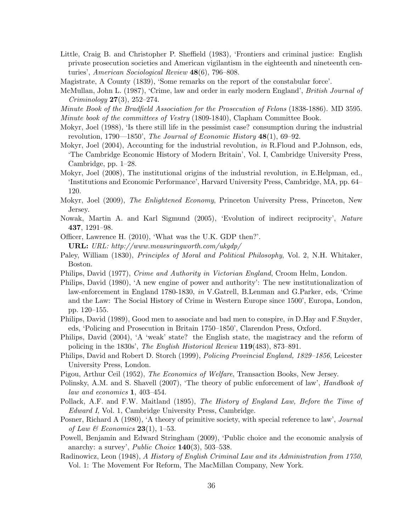- Little, Craig B. and Christopher P. Sheffield (1983), 'Frontiers and criminal justice: English private prosecution societies and American vigilantism in the eighteenth and nineteenth centuries', American Sociological Review 48(6), 796–808.
- Magistrate, A County (1839), 'Some remarks on the report of the constabular force'.
- McMullan, John L. (1987), 'Crime, law and order in early modern England', *British Journal of* Criminology 27(3), 252–274.
- Minute Book of the Bradfield Association for the Prosecution of Felons (1838-1886). MD 3595.
- Minute book of the committees of Vestry (1809-1840), Clapham Committee Book.
- Mokyr, Joel (1988), 'Is there still life in the pessimist case? consumption during the industrial revolution, 1790—1850', The Journal of Economic History  $48(1)$ , 69–92.
- Mokyr, Joel (2004), Accounting for the industrial revolution, in R.Floud and P.Johnson, eds, 'The Cambridge Economic History of Modern Britain', Vol. I, Cambridge University Press, Cambridge, pp. 1–28.
- Mokyr, Joel (2008), The institutional origins of the industrial revolution, in E.Helpman, ed., 'Institutions and Economic Performance', Harvard University Press, Cambridge, MA, pp. 64– 120.
- Mokyr, Joel (2009), *The Enlightened Economy*, Princeton University Press, Princeton, New Jersey.
- Nowak, Martin A. and Karl Sigmund (2005), 'Evolution of indirect reciprocity', Nature 437, 1291–98.
- Officer, Lawrence H. (2010), 'What was the U.K. GDP then?'.

**URL:** URL: http://www.measuringworth.com/ukgdp/

- Paley, William (1830), *Principles of Moral and Political Philosophy*, Vol. 2, N.H. Whitaker, Boston.
- Philips, David (1977), Crime and Authority in Victorian England, Croom Helm, London.
- Philips, David (1980), 'A new engine of power and authority': The new institutionalization of law-enforcement in England 1780-1830, in V.Gatrell, B.Lenman and G.Parker, eds, 'Crime and the Law: The Social History of Crime in Western Europe since 1500', Europa, London, pp. 120–155.
- Philips, David (1989), Good men to associate and bad men to conspire, in D.Hay and F.Snyder, eds, 'Policing and Prosecution in Britain 1750–1850', Clarendon Press, Oxford.
- Philips, David (2004), 'A 'weak' state? the English state, the magistracy and the reform of policing in the 1830s', The English Historical Review 119(483), 873–891.
- Philips, David and Robert D. Storch (1999), *Policing Provincial England, 1829–1856*, Leicester University Press, London.
- Pigou, Arthur Ceil (1952), The Economics of Welfare, Transaction Books, New Jersey.
- Polinsky, A.M. and S. Shavell (2007), 'The theory of public enforcement of law', *Handbook of* law and economics 1, 403–454.
- Pollack, A.F. and F.W. Maitland (1895), The History of England Law, Before the Time of Edward I, Vol. 1, Cambridge University Press, Cambridge.
- Posner, Richard A (1980), 'A theory of primitive society, with special reference to law', *Journal* of Law & Economics  $23(1)$ , 1–53.
- Powell, Benjamin and Edward Stringham (2009), 'Public choice and the economic analysis of anarchy: a survey', *Public Choice*  $140(3)$ , 503-538.
- Radinowicz, Leon (1948), A History of English Criminal Law and its Administration from 1750, Vol. 1: The Movement For Reform, The MacMillan Company, New York.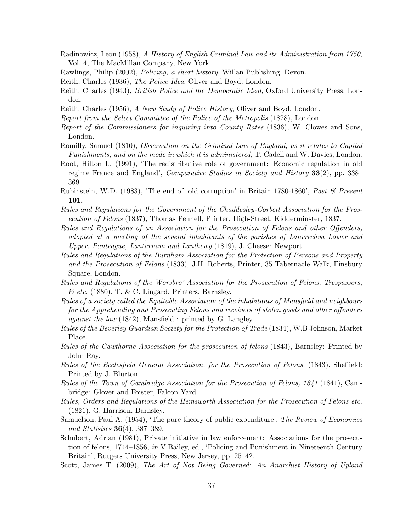- Radinowicz, Leon (1958), A History of English Criminal Law and its Administration from 1750, Vol. 4, The MacMillan Company, New York.
- Rawlings, Philip (2002), Policing, a short history, Willan Publishing, Devon.
- Reith, Charles (1936), The Police Idea, Oliver and Boyd, London.
- Reith, Charles (1943), *British Police and the Democratic Ideal*, Oxford University Press, London.
- Reith, Charles (1956), A New Study of Police History, Oliver and Boyd, London.
- Report from the Select Committee of the Police of the Metropolis (1828), London.
- Report of the Commissioners for inquiring into County Rates (1836), W. Clowes and Sons, London.
- Romilly, Samuel (1810), Observation on the Criminal Law of England, as it relates to Capital Punishments, and on the mode in which it is administered, T. Cadell and W. Davies, London.
- Root, Hilton L. (1991), 'The redistributive role of government: Economic regulation in old regime France and England', Comparative Studies in Society and History 33(2), pp. 338– 369.
- Rubinstein, W.D. (1983), 'The end of 'old corruption' in Britain 1780-1860', Past & Present 101.
- Rules and Regulations for the Government of the Chaddesley-Corbett Association for the Prosecution of Felons (1837), Thomas Pennell, Printer, High-Street, Kidderminster, 1837.
- Rules and Regulations of an Association for the Prosecution of Felons and other Offenders, adopted at a meeting of the several inhabitants of the parishes of Lanvrechva Lower and Upper, Panteague, Lantarnam and Lanthewy (1819), J. Cheese: Newport.
- Rules and Regulations of the Burnham Association for the Protection of Persons and Property and the Prosecution of Felons (1833), J.H. Roberts, Printer, 35 Tabernacle Walk, Finsbury Square, London.
- Rules and Regulations of the Worsbro' Association for the Prosecution of Felons, Trespassers,  $\mathcal C$  etc. (1880), T. & C. Lingard, Printers, Barnsley.
- Rules of a society called the Equitable Association of the inhabitants of Mansfield and neighbours for the Apprehending and Prosecuting Felons and receivers of stolen goods and other offenders against the law (1842), Mansfield : printed by G. Langley.
- Rules of the Beverley Guardian Society for the Protection of Trade (1834), W.B Johnson, Market Place.
- Rules of the Cawthorne Association for the prosecution of felons (1843), Barnsley: Printed by John Ray.
- Rules of the Ecclesfield General Association, for the Prosecution of Felons. (1843), Sheffield: Printed by J. Blurton.
- Rules of the Town of Cambridge Association for the Prosecution of Felons, 1841 (1841), Cambridge: Glover and Foister, Falcon Yard.
- Rules, Orders and Regulations of the Hemsworth Association for the Prosecution of Felons etc. (1821), G. Harrison, Barnsley.
- Samuelson, Paul A. (1954), 'The pure theory of public expenditure', The Review of Economics and Statistics 36(4), 387–389.
- Schubert, Adrian (1981), Private initiative in law enforcement: Associations for the prosecution of felons, 1744–1856, in V.Bailey, ed., 'Policing and Punishment in Nineteenth Century Britain', Rutgers University Press, New Jersey, pp. 25–42.

Scott, James T. (2009), The Art of Not Being Governed: An Anarchist History of Upland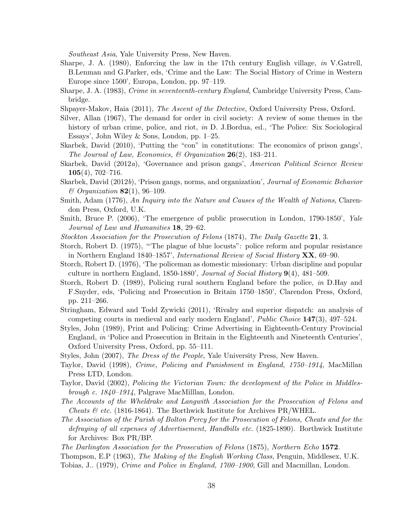Southeast Asia, Yale University Press, New Haven.

- Sharpe, J. A. (1980), Enforcing the law in the 17th century English village, in V.Gatrell, B.Lenman and G.Parker, eds, 'Crime and the Law: The Social History of Crime in Western Europe since 1500', Europa, London, pp. 97–119.
- Sharpe, J. A. (1983), Crime in seventeenth-century England, Cambridge University Press, Cambridge.
- Shpayer-Makov, Haia (2011), The Ascent of the Detective, Oxford University Press, Oxford.
- Silver, Allan (1967), The demand for order in civil society: A review of some themes in the history of urban crime, police, and riot, in D. J.Bordua, ed., 'The Police: Six Sociological Essays', John Wiley & Sons, London, pp. 1–25.
- Skarbek, David (2010), 'Putting the "con" in constitutions: The economics of prison gangs', The Journal of Law, Economics,  $\mathcal{B}$  Organization 26(2), 183–211.
- Skarbek, David (2012a), 'Governance and prison gangs', American Political Science Review  $105(4)$ , 702–716.
- Skarbek, David (2012b), 'Prison gangs, norms, and organization', Journal of Economic Behavior  $\mathcal{B}$  Organization **82**(1), 96–109.
- Smith, Adam (1776), An Inquiry into the Nature and Causes of the Wealth of Nations, Clarendon Press, Oxford, U.K.
- Smith, Bruce P. (2006), 'The emergence of public prosecution in London, 1790-1850', Yale Journal of Law and Humanities 18, 29–62.
- Stockton Association for the Prosecution of Felons (1874), The Daily Gazette 21, 3.
- Storch, Robert D. (1975), "'The plague of blue locusts": police reform and popular resistance in Northern England 1840–1857', International Review of Social History XX, 69–90.
- Storch, Robert D. (1976), 'The policeman as domestic missionary: Urban discipline and popular culture in northern England,  $1850-1880'$ , Journal of Social History  $9(4)$ ,  $481-509$ .
- Storch, Robert D. (1989), Policing rural southern England before the police, in D.Hay and F.Snyder, eds, 'Policing and Prosecution in Britain 1750–1850', Clarendon Press, Oxford, pp. 211–266.
- Stringham, Edward and Todd Zywicki (2011), 'Rivalry and superior dispatch: an analysis of competing courts in medieval and early modern England', Public Choice 147(3), 497–524.
- Styles, John (1989), Print and Policing: Crime Advertising in Eighteenth-Century Provincial England, in 'Police and Prosecution in Britain in the Eighteenth and Nineteenth Centuries', Oxford University Press, Oxford, pp. 55–111.
- Styles, John (2007), *The Dress of the People*, Yale University Press, New Haven.
- Taylor, David (1998), Crime, Policing and Punishment in England, 1750–1914, MacMillan Press LTD, London.
- Taylor, David (2002), Policing the Victorian Town: the development of the Police in Middlesbrough c. 1840–1914, Palgrave MacMilllan, London.
- The Accounts of the Wheldrake and Langwith Association for the Prosecution of Felons and *Cheats & etc.* (1816-1864). The Borthwick Institute for Archives PR/WHEL.
- The Association of the Parish of Bolton Percy for the Prosecution of Felons, Cheats and for the defraying of all expenses of Advertisement, Handbills etc. (1825-1890). Borthwick Institute for Archives: Box PR/BP.
- The Darlington Association for the Prosecution of Felons (1875), Northern Echo 1572.

Thompson, E.P (1963), The Making of the English Working Class, Penguin, Middlesex, U.K. Tobias, J.. (1979), Crime and Police in England, 1700–1900, Gill and Macmillan, London.